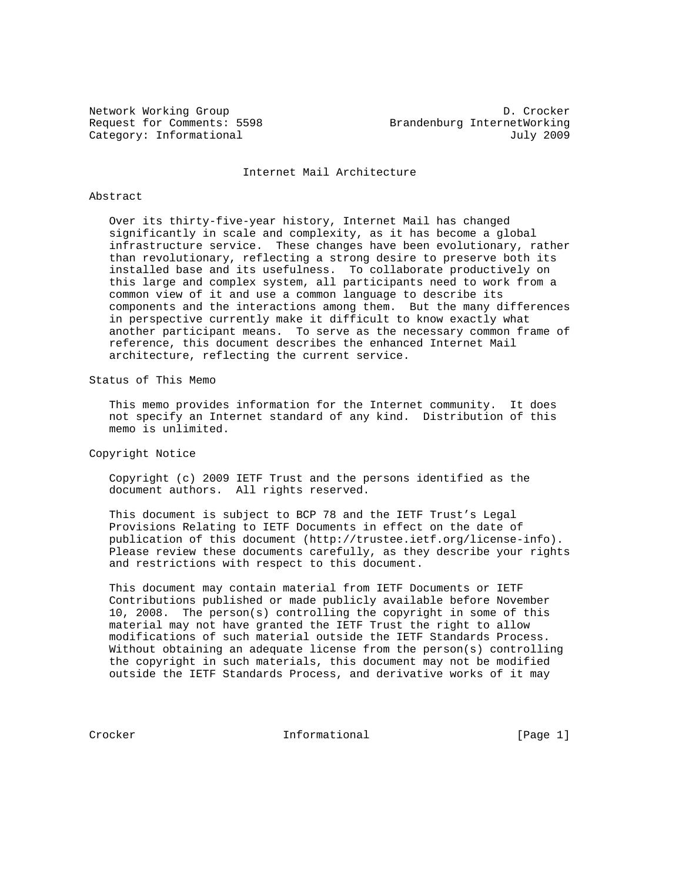Network Working Group<br>Request for Comments: 5598 Brandenburg InternetWorking Brandenburg InternetWorking Category: Informational and Category: Informational and Category: July 2009

Internet Mail Architecture

# Abstract

 Over its thirty-five-year history, Internet Mail has changed significantly in scale and complexity, as it has become a global infrastructure service. These changes have been evolutionary, rather than revolutionary, reflecting a strong desire to preserve both its installed base and its usefulness. To collaborate productively on this large and complex system, all participants need to work from a common view of it and use a common language to describe its components and the interactions among them. But the many differences in perspective currently make it difficult to know exactly what another participant means. To serve as the necessary common frame of reference, this document describes the enhanced Internet Mail architecture, reflecting the current service.

Status of This Memo

 This memo provides information for the Internet community. It does not specify an Internet standard of any kind. Distribution of this memo is unlimited.

Copyright Notice

 Copyright (c) 2009 IETF Trust and the persons identified as the document authors. All rights reserved.

 This document is subject to BCP 78 and the IETF Trust's Legal Provisions Relating to IETF Documents in effect on the date of publication of this document (http://trustee.ietf.org/license-info). Please review these documents carefully, as they describe your rights and restrictions with respect to this document.

 This document may contain material from IETF Documents or IETF Contributions published or made publicly available before November 10, 2008. The person(s) controlling the copyright in some of this material may not have granted the IETF Trust the right to allow modifications of such material outside the IETF Standards Process. Without obtaining an adequate license from the person(s) controlling the copyright in such materials, this document may not be modified outside the IETF Standards Process, and derivative works of it may

Crocker **Informational** Informational [Page 1]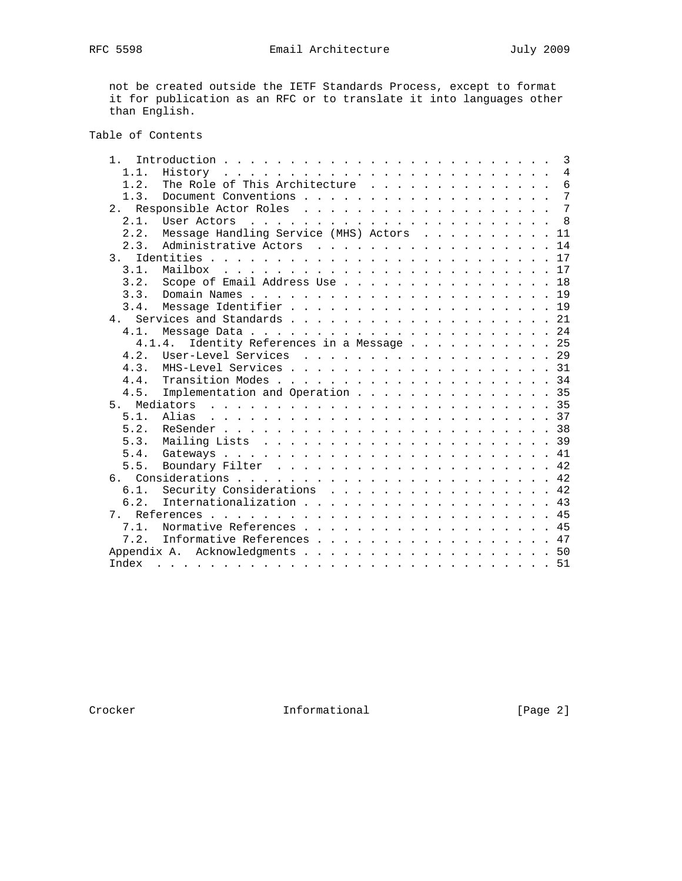not be created outside the IETF Standards Process, except to format it for publication as an RFC or to translate it into languages other than English.

# Table of Contents

| $\mathfrak{1}$ . | 3                                                |
|------------------|--------------------------------------------------|
| 1.1.             | $\overline{4}$                                   |
| 1.2.             | $6\overline{6}$<br>The Role of This Architecture |
| 1.3.             | $\overline{7}$                                   |
| 2.1              | $\overline{7}$                                   |
| 2.1.             |                                                  |
| 2.2.             | Message Handling Service (MHS) Actors 11         |
| 2.3.             | 14                                               |
| 3 <sub>1</sub>   |                                                  |
| 3.1.             |                                                  |
| 3.2.             | Scope of Email Address Use 18                    |
| 3.3.             |                                                  |
| 3.4.             | Message Identifier 19                            |
| 4.               |                                                  |
| 4.1.             |                                                  |
|                  | Identity References in a Message 25<br>4.1.4.    |
| 4.2.             | User-Level Services 29                           |
| 4 3              | MHS-Level Services 31                            |
| 4.4.             |                                                  |
| 4.5.             | Implementation and Operation 35                  |
| $5 -$            |                                                  |
| 5.1.             |                                                  |
| 5.2.             |                                                  |
| 5.3.             |                                                  |
| 5.4.             |                                                  |
| 5.5.             |                                                  |
| 6.               |                                                  |
| 6.1.             | Security Considerations 42                       |
| 6.2.             | Internationalization 43                          |
| 7                |                                                  |
| 7.1.             | Normative References 45                          |
| 7.2.             | Informative References 47                        |
|                  |                                                  |
| Index            |                                                  |
|                  |                                                  |

Crocker Informational [Page 2]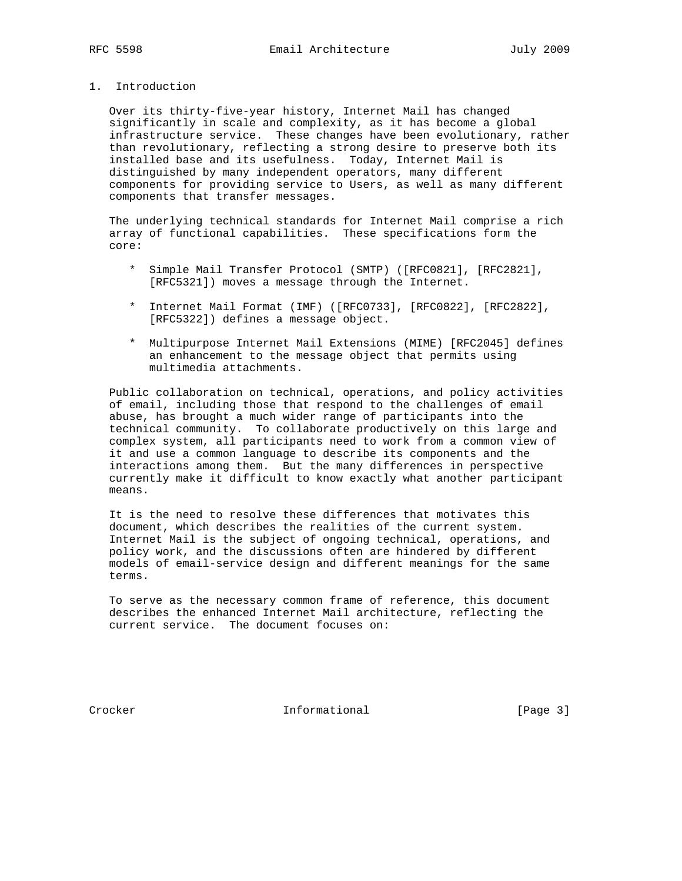1. Introduction

 Over its thirty-five-year history, Internet Mail has changed significantly in scale and complexity, as it has become a global infrastructure service. These changes have been evolutionary, rather than revolutionary, reflecting a strong desire to preserve both its installed base and its usefulness. Today, Internet Mail is distinguished by many independent operators, many different components for providing service to Users, as well as many different components that transfer messages.

 The underlying technical standards for Internet Mail comprise a rich array of functional capabilities. These specifications form the core:

- \* Simple Mail Transfer Protocol (SMTP) ([RFC0821], [RFC2821], [RFC5321]) moves a message through the Internet.
- \* Internet Mail Format (IMF) ([RFC0733], [RFC0822], [RFC2822], [RFC5322]) defines a message object.
- \* Multipurpose Internet Mail Extensions (MIME) [RFC2045] defines an enhancement to the message object that permits using multimedia attachments.

 Public collaboration on technical, operations, and policy activities of email, including those that respond to the challenges of email abuse, has brought a much wider range of participants into the technical community. To collaborate productively on this large and complex system, all participants need to work from a common view of it and use a common language to describe its components and the interactions among them. But the many differences in perspective currently make it difficult to know exactly what another participant means.

 It is the need to resolve these differences that motivates this document, which describes the realities of the current system. Internet Mail is the subject of ongoing technical, operations, and policy work, and the discussions often are hindered by different models of email-service design and different meanings for the same terms.

 To serve as the necessary common frame of reference, this document describes the enhanced Internet Mail architecture, reflecting the current service. The document focuses on:

Crocker Informational [Page 3]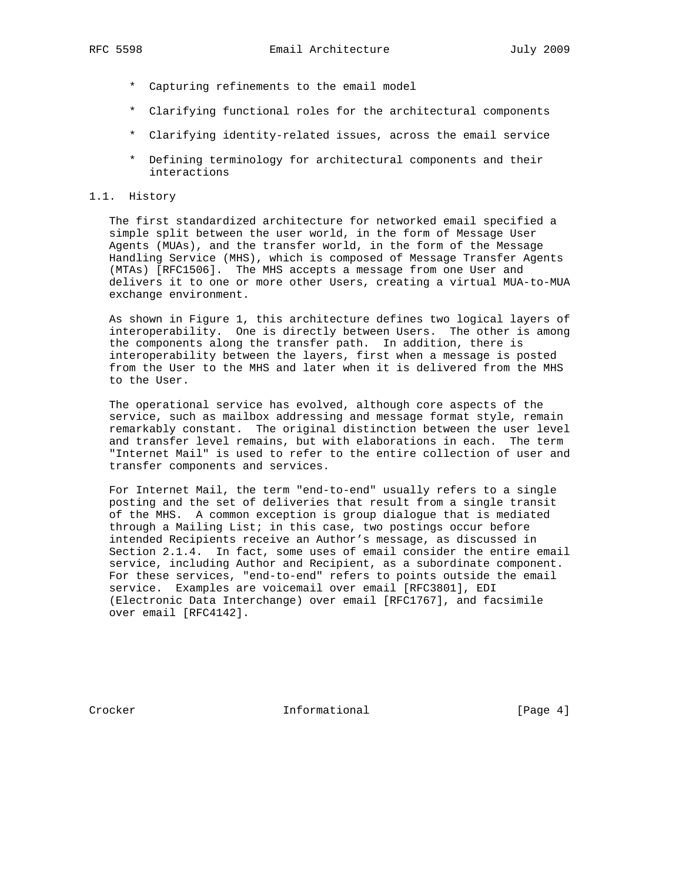- \* Capturing refinements to the email model
- \* Clarifying functional roles for the architectural components
- \* Clarifying identity-related issues, across the email service
- \* Defining terminology for architectural components and their interactions

## 1.1. History

 The first standardized architecture for networked email specified a simple split between the user world, in the form of Message User Agents (MUAs), and the transfer world, in the form of the Message Handling Service (MHS), which is composed of Message Transfer Agents (MTAs) [RFC1506]. The MHS accepts a message from one User and delivers it to one or more other Users, creating a virtual MUA-to-MUA exchange environment.

 As shown in Figure 1, this architecture defines two logical layers of interoperability. One is directly between Users. The other is among the components along the transfer path. In addition, there is interoperability between the layers, first when a message is posted from the User to the MHS and later when it is delivered from the MHS to the User.

 The operational service has evolved, although core aspects of the service, such as mailbox addressing and message format style, remain remarkably constant. The original distinction between the user level and transfer level remains, but with elaborations in each. The term "Internet Mail" is used to refer to the entire collection of user and transfer components and services.

 For Internet Mail, the term "end-to-end" usually refers to a single posting and the set of deliveries that result from a single transit of the MHS. A common exception is group dialogue that is mediated through a Mailing List; in this case, two postings occur before intended Recipients receive an Author's message, as discussed in Section 2.1.4. In fact, some uses of email consider the entire email service, including Author and Recipient, as a subordinate component. For these services, "end-to-end" refers to points outside the email service. Examples are voicemail over email [RFC3801], EDI (Electronic Data Interchange) over email [RFC1767], and facsimile over email [RFC4142].

Crocker Informational [Page 4]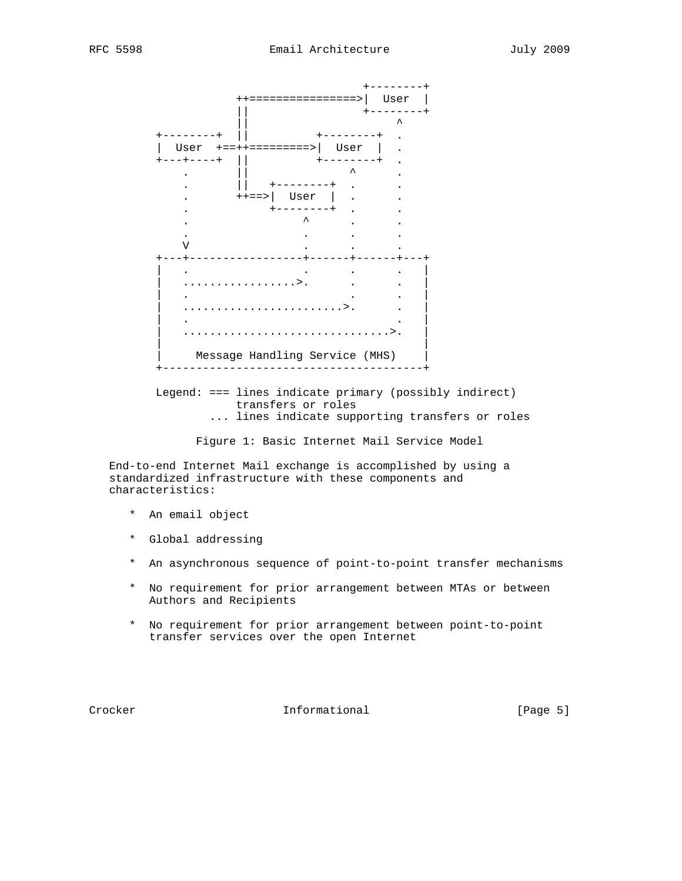

 Legend: === lines indicate primary (possibly indirect) transfers or roles ... lines indicate supporting transfers or roles

Figure 1: Basic Internet Mail Service Model

 End-to-end Internet Mail exchange is accomplished by using a standardized infrastructure with these components and characteristics:

- \* An email object
- \* Global addressing
- \* An asynchronous sequence of point-to-point transfer mechanisms
- \* No requirement for prior arrangement between MTAs or between Authors and Recipients
- \* No requirement for prior arrangement between point-to-point transfer services over the open Internet

Crocker **Informational** Informational [Page 5]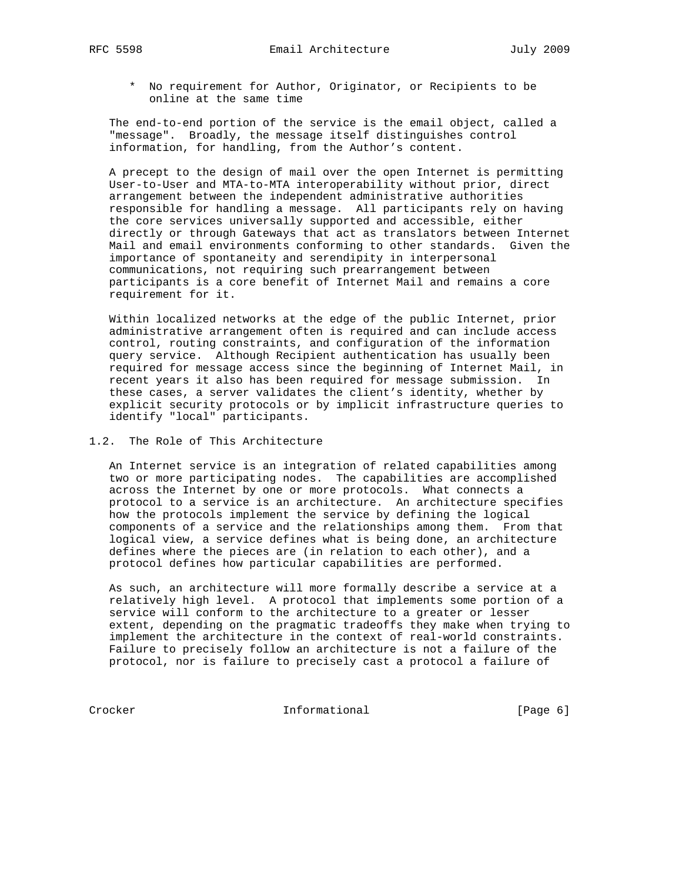\* No requirement for Author, Originator, or Recipients to be online at the same time

 The end-to-end portion of the service is the email object, called a "message". Broadly, the message itself distinguishes control information, for handling, from the Author's content.

 A precept to the design of mail over the open Internet is permitting User-to-User and MTA-to-MTA interoperability without prior, direct arrangement between the independent administrative authorities responsible for handling a message. All participants rely on having the core services universally supported and accessible, either directly or through Gateways that act as translators between Internet Mail and email environments conforming to other standards. Given the importance of spontaneity and serendipity in interpersonal communications, not requiring such prearrangement between participants is a core benefit of Internet Mail and remains a core requirement for it.

 Within localized networks at the edge of the public Internet, prior administrative arrangement often is required and can include access control, routing constraints, and configuration of the information query service. Although Recipient authentication has usually been required for message access since the beginning of Internet Mail, in recent years it also has been required for message submission. In these cases, a server validates the client's identity, whether by explicit security protocols or by implicit infrastructure queries to identify "local" participants.

# 1.2. The Role of This Architecture

 An Internet service is an integration of related capabilities among two or more participating nodes. The capabilities are accomplished across the Internet by one or more protocols. What connects a protocol to a service is an architecture. An architecture specifies how the protocols implement the service by defining the logical components of a service and the relationships among them. From that logical view, a service defines what is being done, an architecture defines where the pieces are (in relation to each other), and a protocol defines how particular capabilities are performed.

 As such, an architecture will more formally describe a service at a relatively high level. A protocol that implements some portion of a service will conform to the architecture to a greater or lesser extent, depending on the pragmatic tradeoffs they make when trying to implement the architecture in the context of real-world constraints. Failure to precisely follow an architecture is not a failure of the protocol, nor is failure to precisely cast a protocol a failure of

Crocker Informational [Page 6]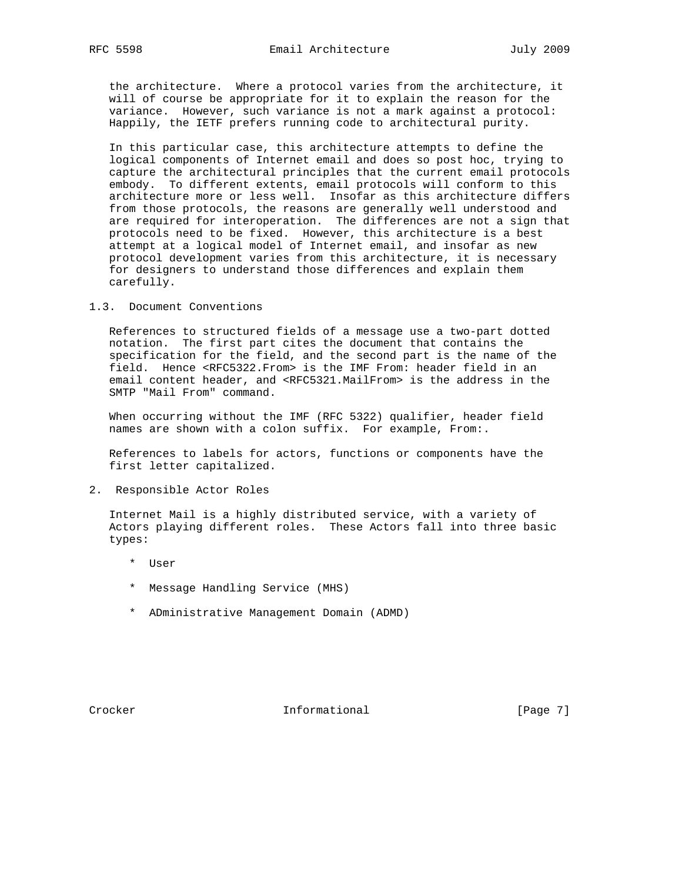the architecture. Where a protocol varies from the architecture, it will of course be appropriate for it to explain the reason for the variance. However, such variance is not a mark against a protocol: Happily, the IETF prefers running code to architectural purity.

 In this particular case, this architecture attempts to define the logical components of Internet email and does so post hoc, trying to capture the architectural principles that the current email protocols embody. To different extents, email protocols will conform to this architecture more or less well. Insofar as this architecture differs from those protocols, the reasons are generally well understood and are required for interoperation. The differences are not a sign that protocols need to be fixed. However, this architecture is a best attempt at a logical model of Internet email, and insofar as new protocol development varies from this architecture, it is necessary for designers to understand those differences and explain them carefully.

# 1.3. Document Conventions

 References to structured fields of a message use a two-part dotted notation. The first part cites the document that contains the specification for the field, and the second part is the name of the field. Hence <RFC5322.From> is the IMF From: header field in an email content header, and <RFC5321.MailFrom> is the address in the SMTP "Mail From" command.

 When occurring without the IMF (RFC 5322) qualifier, header field names are shown with a colon suffix. For example, From:.

 References to labels for actors, functions or components have the first letter capitalized.

2. Responsible Actor Roles

 Internet Mail is a highly distributed service, with a variety of Actors playing different roles. These Actors fall into three basic types:

- \* User
- \* Message Handling Service (MHS)
- \* ADministrative Management Domain (ADMD)

Crocker **Informational** Informational [Page 7]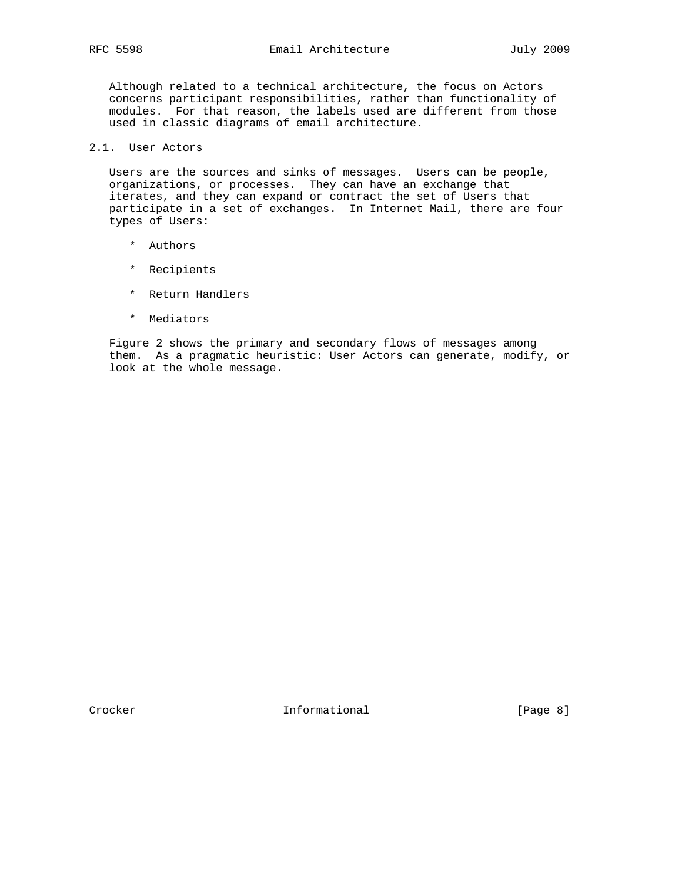Although related to a technical architecture, the focus on Actors concerns participant responsibilities, rather than functionality of modules. For that reason, the labels used are different from those used in classic diagrams of email architecture.

# 2.1. User Actors

 Users are the sources and sinks of messages. Users can be people, organizations, or processes. They can have an exchange that iterates, and they can expand or contract the set of Users that participate in a set of exchanges. In Internet Mail, there are four types of Users:

- \* Authors
- \* Recipients
- \* Return Handlers
- \* Mediators

 Figure 2 shows the primary and secondary flows of messages among them. As a pragmatic heuristic: User Actors can generate, modify, or look at the whole message.

Crocker **Informational** [Page 8]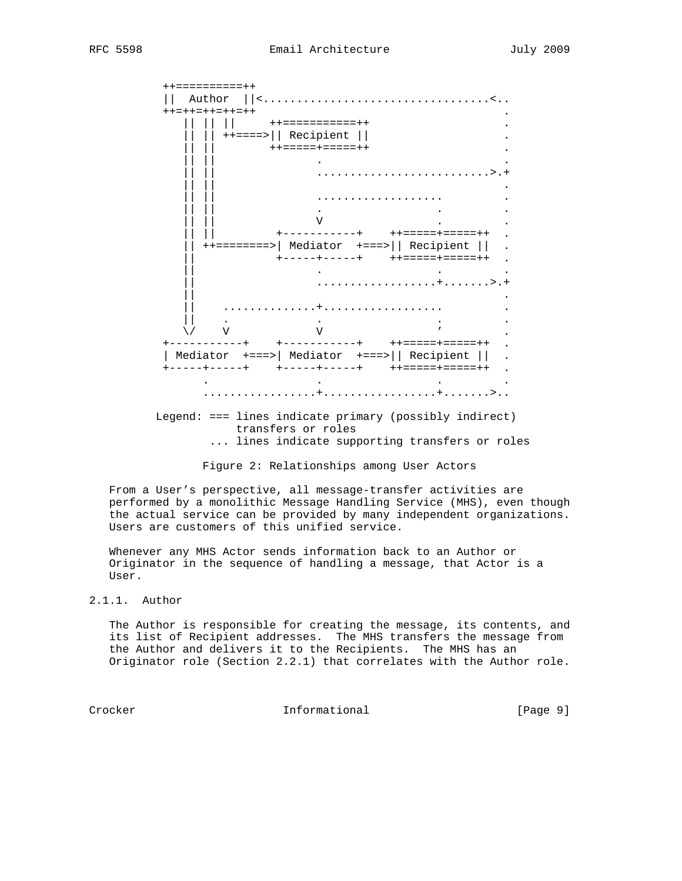

... lines indicate supporting transfers or roles

Figure 2: Relationships among User Actors

 From a User's perspective, all message-transfer activities are performed by a monolithic Message Handling Service (MHS), even though the actual service can be provided by many independent organizations. Users are customers of this unified service.

 Whenever any MHS Actor sends information back to an Author or Originator in the sequence of handling a message, that Actor is a User.

# 2.1.1. Author

 The Author is responsible for creating the message, its contents, and its list of Recipient addresses. The MHS transfers the message from the Author and delivers it to the Recipients. The MHS has an Originator role (Section 2.2.1) that correlates with the Author role.

Crocker **Informational** Informational [Page 9]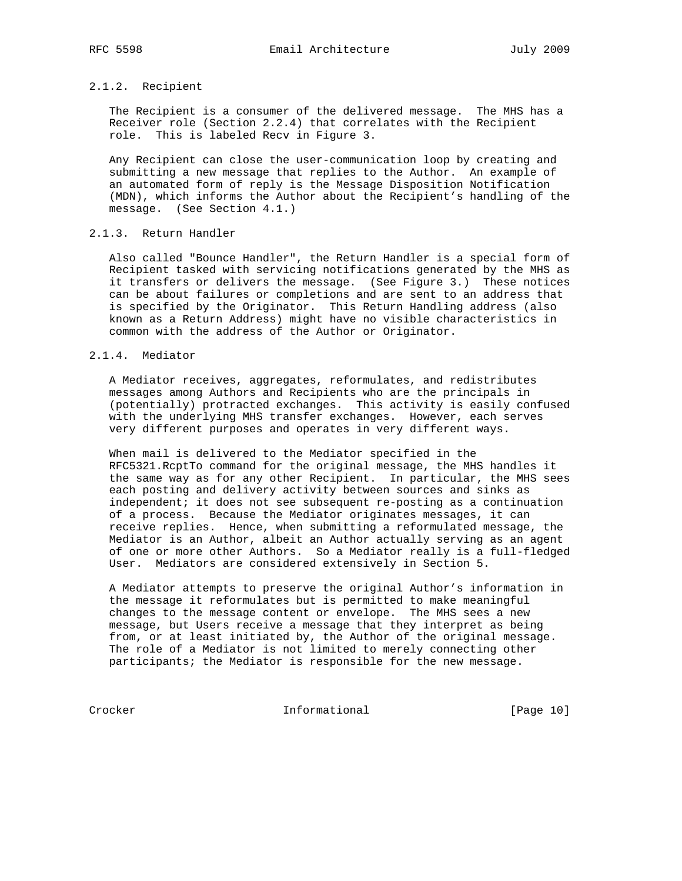# 2.1.2. Recipient

 The Recipient is a consumer of the delivered message. The MHS has a Receiver role (Section 2.2.4) that correlates with the Recipient role. This is labeled Recv in Figure 3.

 Any Recipient can close the user-communication loop by creating and submitting a new message that replies to the Author. An example of an automated form of reply is the Message Disposition Notification (MDN), which informs the Author about the Recipient's handling of the message. (See Section 4.1.)

# 2.1.3. Return Handler

 Also called "Bounce Handler", the Return Handler is a special form of Recipient tasked with servicing notifications generated by the MHS as it transfers or delivers the message. (See Figure 3.) These notices can be about failures or completions and are sent to an address that is specified by the Originator. This Return Handling address (also known as a Return Address) might have no visible characteristics in common with the address of the Author or Originator.

## 2.1.4. Mediator

 A Mediator receives, aggregates, reformulates, and redistributes messages among Authors and Recipients who are the principals in (potentially) protracted exchanges. This activity is easily confused with the underlying MHS transfer exchanges. However, each serves very different purposes and operates in very different ways.

 When mail is delivered to the Mediator specified in the RFC5321.RcptTo command for the original message, the MHS handles it the same way as for any other Recipient. In particular, the MHS sees each posting and delivery activity between sources and sinks as independent; it does not see subsequent re-posting as a continuation of a process. Because the Mediator originates messages, it can receive replies. Hence, when submitting a reformulated message, the Mediator is an Author, albeit an Author actually serving as an agent of one or more other Authors. So a Mediator really is a full-fledged User. Mediators are considered extensively in Section 5.

 A Mediator attempts to preserve the original Author's information in the message it reformulates but is permitted to make meaningful changes to the message content or envelope. The MHS sees a new message, but Users receive a message that they interpret as being from, or at least initiated by, the Author of the original message. The role of a Mediator is not limited to merely connecting other participants; the Mediator is responsible for the new message.

Crocker Informational [Page 10]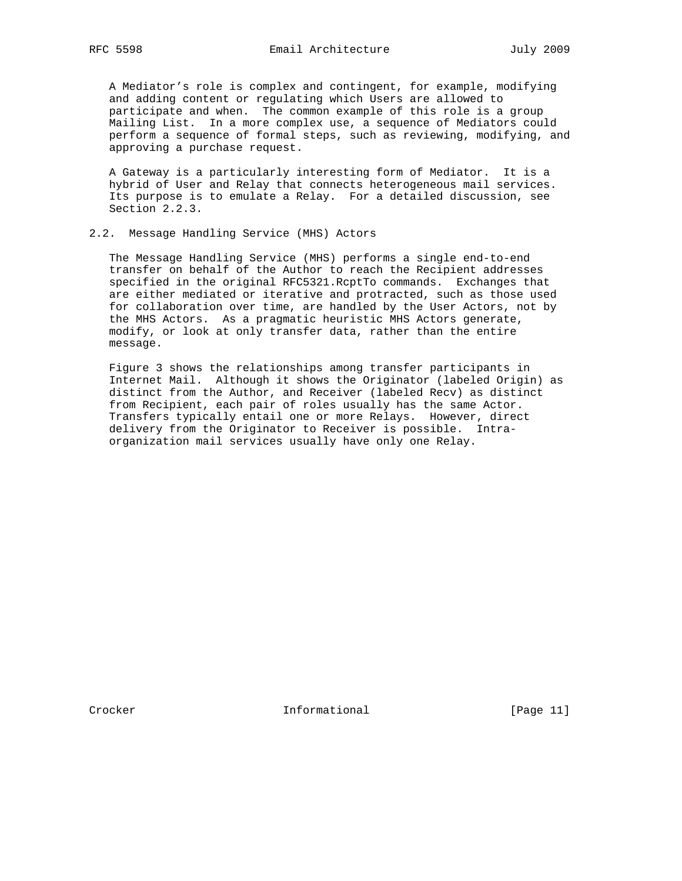A Mediator's role is complex and contingent, for example, modifying and adding content or regulating which Users are allowed to participate and when. The common example of this role is a group Mailing List. In a more complex use, a sequence of Mediators could perform a sequence of formal steps, such as reviewing, modifying, and approving a purchase request.

 A Gateway is a particularly interesting form of Mediator. It is a hybrid of User and Relay that connects heterogeneous mail services. Its purpose is to emulate a Relay. For a detailed discussion, see Section 2.2.3.

# 2.2. Message Handling Service (MHS) Actors

 The Message Handling Service (MHS) performs a single end-to-end transfer on behalf of the Author to reach the Recipient addresses specified in the original RFC5321.RcptTo commands. Exchanges that are either mediated or iterative and protracted, such as those used for collaboration over time, are handled by the User Actors, not by the MHS Actors. As a pragmatic heuristic MHS Actors generate, modify, or look at only transfer data, rather than the entire message.

 Figure 3 shows the relationships among transfer participants in Internet Mail. Although it shows the Originator (labeled Origin) as distinct from the Author, and Receiver (labeled Recv) as distinct from Recipient, each pair of roles usually has the same Actor. Transfers typically entail one or more Relays. However, direct delivery from the Originator to Receiver is possible. Intra organization mail services usually have only one Relay.

Crocker **Informational** [Page 11]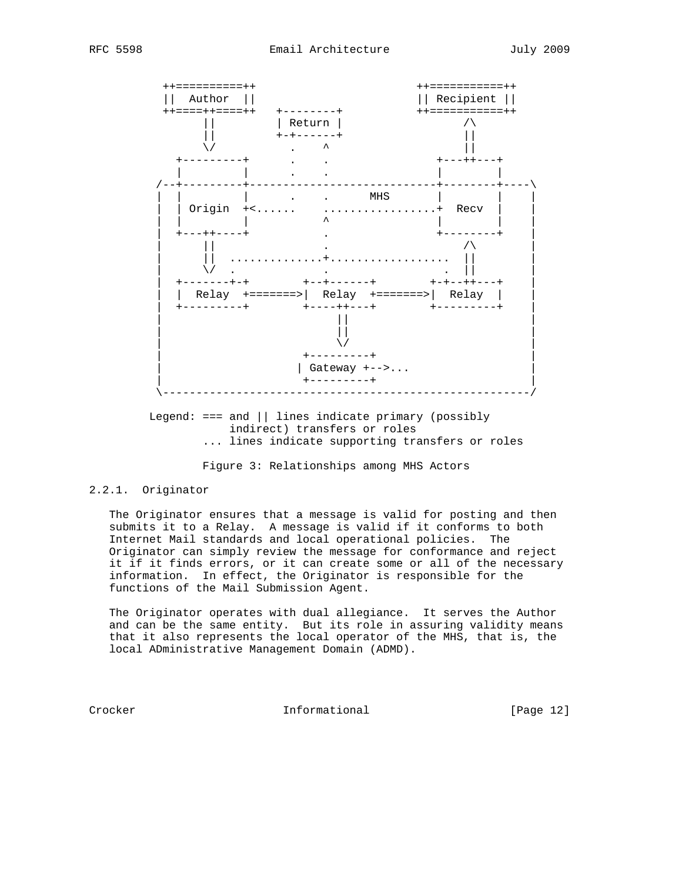

Legend:  $==$  and  $||$  lines indicate primary (possibly indirect) transfers or roles ... lines indicate supporting transfers or roles

Figure 3: Relationships among MHS Actors

# 2.2.1. Originator

 The Originator ensures that a message is valid for posting and then submits it to a Relay. A message is valid if it conforms to both Internet Mail standards and local operational policies. The Originator can simply review the message for conformance and reject it if it finds errors, or it can create some or all of the necessary information. In effect, the Originator is responsible for the functions of the Mail Submission Agent.

 The Originator operates with dual allegiance. It serves the Author and can be the same entity. But its role in assuring validity means that it also represents the local operator of the MHS, that is, the local ADministrative Management Domain (ADMD).

Crocker Informational [Page 12]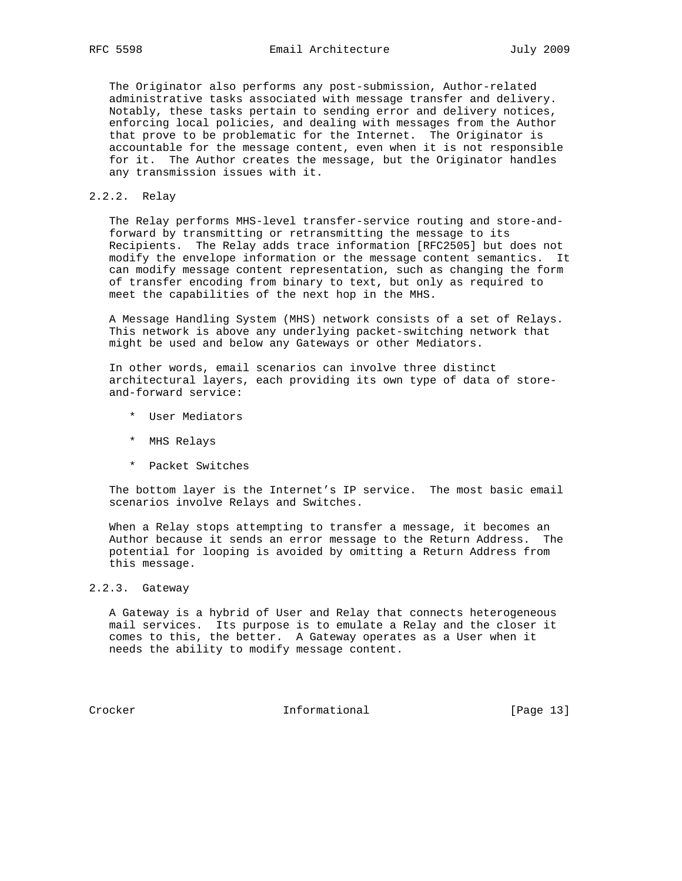The Originator also performs any post-submission, Author-related administrative tasks associated with message transfer and delivery. Notably, these tasks pertain to sending error and delivery notices, enforcing local policies, and dealing with messages from the Author that prove to be problematic for the Internet. The Originator is accountable for the message content, even when it is not responsible for it. The Author creates the message, but the Originator handles any transmission issues with it.

## 2.2.2. Relay

 The Relay performs MHS-level transfer-service routing and store-and forward by transmitting or retransmitting the message to its Recipients. The Relay adds trace information [RFC2505] but does not modify the envelope information or the message content semantics. It can modify message content representation, such as changing the form of transfer encoding from binary to text, but only as required to meet the capabilities of the next hop in the MHS.

 A Message Handling System (MHS) network consists of a set of Relays. This network is above any underlying packet-switching network that might be used and below any Gateways or other Mediators.

 In other words, email scenarios can involve three distinct architectural layers, each providing its own type of data of store and-forward service:

- \* User Mediators
- \* MHS Relays
- \* Packet Switches

 The bottom layer is the Internet's IP service. The most basic email scenarios involve Relays and Switches.

 When a Relay stops attempting to transfer a message, it becomes an Author because it sends an error message to the Return Address. The potential for looping is avoided by omitting a Return Address from this message.

2.2.3. Gateway

 A Gateway is a hybrid of User and Relay that connects heterogeneous mail services. Its purpose is to emulate a Relay and the closer it comes to this, the better. A Gateway operates as a User when it needs the ability to modify message content.

Crocker Informational [Page 13]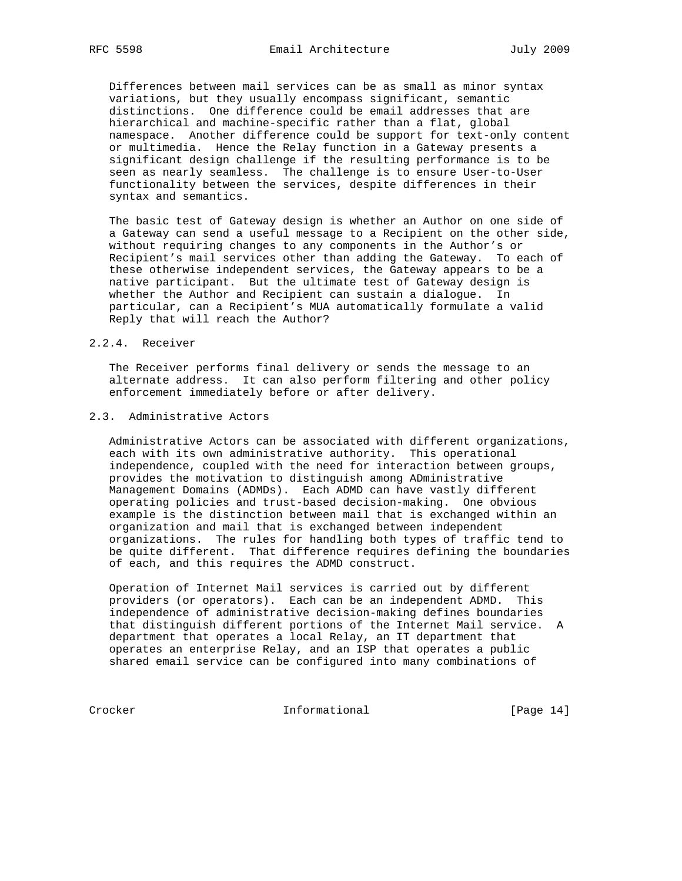Differences between mail services can be as small as minor syntax variations, but they usually encompass significant, semantic distinctions. One difference could be email addresses that are hierarchical and machine-specific rather than a flat, global namespace. Another difference could be support for text-only content or multimedia. Hence the Relay function in a Gateway presents a significant design challenge if the resulting performance is to be seen as nearly seamless. The challenge is to ensure User-to-User functionality between the services, despite differences in their syntax and semantics.

 The basic test of Gateway design is whether an Author on one side of a Gateway can send a useful message to a Recipient on the other side, without requiring changes to any components in the Author's or Recipient's mail services other than adding the Gateway. To each of these otherwise independent services, the Gateway appears to be a native participant. But the ultimate test of Gateway design is whether the Author and Recipient can sustain a dialogue. In particular, can a Recipient's MUA automatically formulate a valid Reply that will reach the Author?

## 2.2.4. Receiver

 The Receiver performs final delivery or sends the message to an alternate address. It can also perform filtering and other policy enforcement immediately before or after delivery.

# 2.3. Administrative Actors

 Administrative Actors can be associated with different organizations, each with its own administrative authority. This operational independence, coupled with the need for interaction between groups, provides the motivation to distinguish among ADministrative Management Domains (ADMDs). Each ADMD can have vastly different operating policies and trust-based decision-making. One obvious example is the distinction between mail that is exchanged within an organization and mail that is exchanged between independent organizations. The rules for handling both types of traffic tend to be quite different. That difference requires defining the boundaries of each, and this requires the ADMD construct.

 Operation of Internet Mail services is carried out by different providers (or operators). Each can be an independent ADMD. This independence of administrative decision-making defines boundaries that distinguish different portions of the Internet Mail service. A department that operates a local Relay, an IT department that operates an enterprise Relay, and an ISP that operates a public shared email service can be configured into many combinations of

Crocker Informational [Page 14]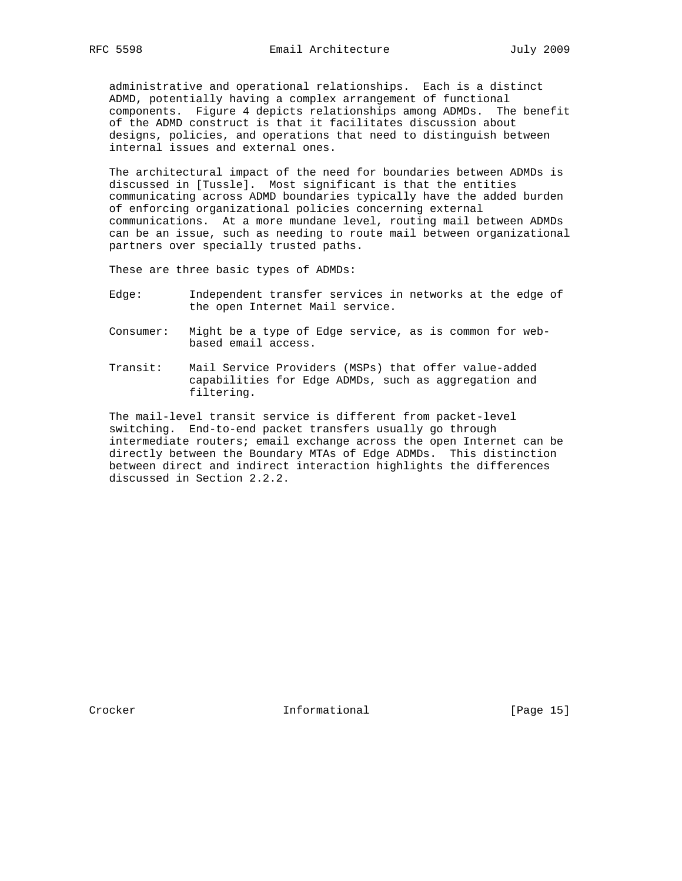administrative and operational relationships. Each is a distinct ADMD, potentially having a complex arrangement of functional components. Figure 4 depicts relationships among ADMDs. The benefit of the ADMD construct is that it facilitates discussion about designs, policies, and operations that need to distinguish between internal issues and external ones.

 The architectural impact of the need for boundaries between ADMDs is discussed in [Tussle]. Most significant is that the entities communicating across ADMD boundaries typically have the added burden of enforcing organizational policies concerning external communications. At a more mundane level, routing mail between ADMDs can be an issue, such as needing to route mail between organizational partners over specially trusted paths.

These are three basic types of ADMDs:

- Edge: Independent transfer services in networks at the edge of the open Internet Mail service.
- Consumer: Might be a type of Edge service, as is common for web based email access.
- Transit: Mail Service Providers (MSPs) that offer value-added capabilities for Edge ADMDs, such as aggregation and filtering.

 The mail-level transit service is different from packet-level switching. End-to-end packet transfers usually go through intermediate routers; email exchange across the open Internet can be directly between the Boundary MTAs of Edge ADMDs. This distinction between direct and indirect interaction highlights the differences discussed in Section 2.2.2.

Crocker **Informational** [Page 15]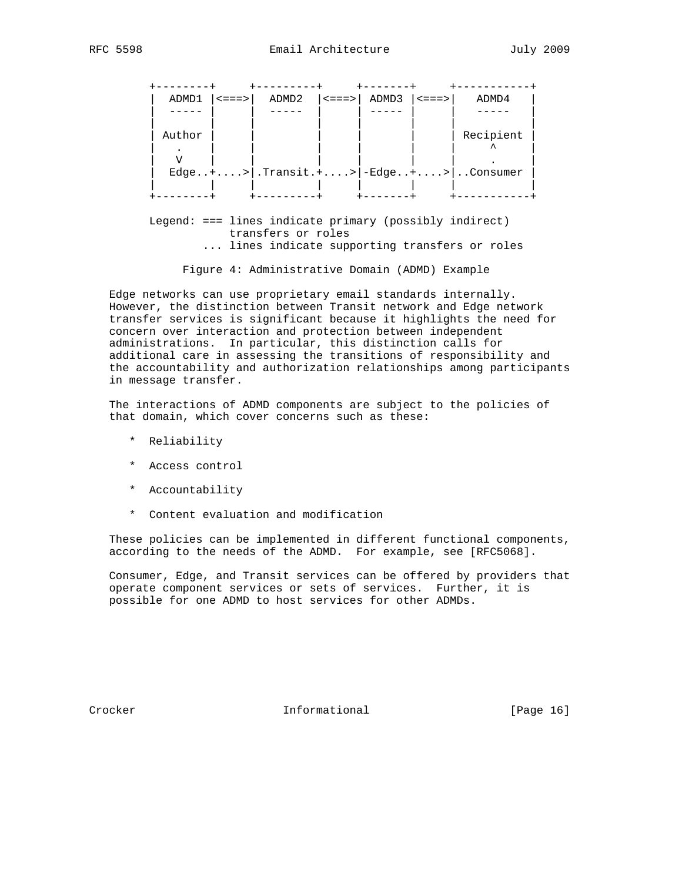| - - - - -<br>ADMD1 | $ $ <===> $ $ | $ADMD2$ $  \leq == >  $ $ADMD3$ |          | $ $ <===> | ADMD4                               |
|--------------------|---------------|---------------------------------|----------|-----------|-------------------------------------|
|                    |               |                                 |          |           |                                     |
| Author             |               |                                 |          |           | Recipient                           |
|                    |               |                                 |          |           | Edge+> .Transit.+> -Edge+> Consumer |
|                    |               |                                 |          |           |                                     |
| -------            |               | ---------                       | -------- |           |                                     |

 Legend: === lines indicate primary (possibly indirect) transfers or roles ... lines indicate supporting transfers or roles

Figure 4: Administrative Domain (ADMD) Example

 Edge networks can use proprietary email standards internally. However, the distinction between Transit network and Edge network transfer services is significant because it highlights the need for concern over interaction and protection between independent administrations. In particular, this distinction calls for additional care in assessing the transitions of responsibility and the accountability and authorization relationships among participants in message transfer.

 The interactions of ADMD components are subject to the policies of that domain, which cover concerns such as these:

- \* Reliability
- \* Access control
- \* Accountability
- \* Content evaluation and modification

 These policies can be implemented in different functional components, according to the needs of the ADMD. For example, see [RFC5068].

 Consumer, Edge, and Transit services can be offered by providers that operate component services or sets of services. Further, it is possible for one ADMD to host services for other ADMDs.

Crocker **Informational** [Page 16]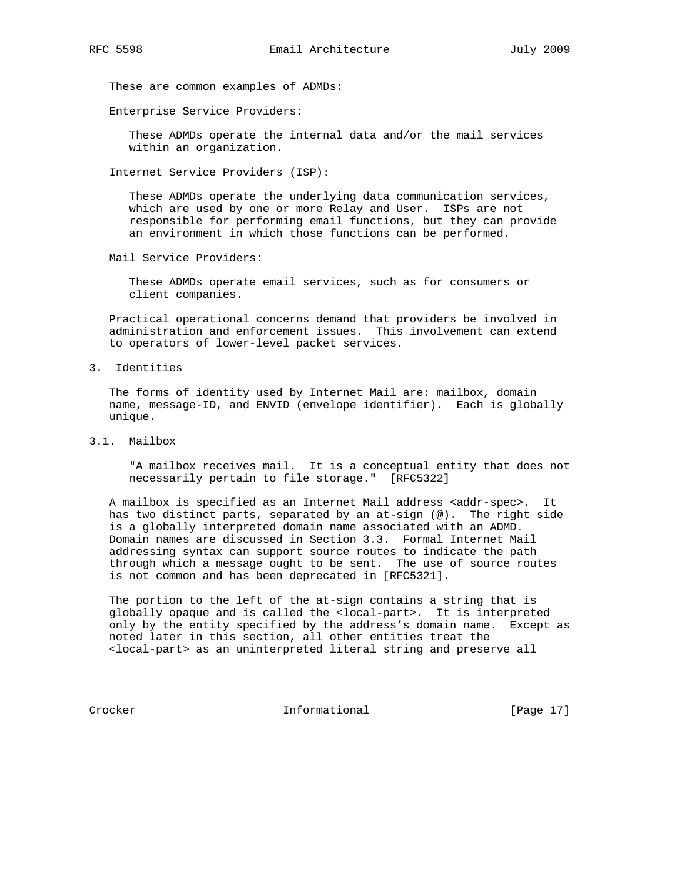These are common examples of ADMDs:

Enterprise Service Providers:

 These ADMDs operate the internal data and/or the mail services within an organization.

Internet Service Providers (ISP):

 These ADMDs operate the underlying data communication services, which are used by one or more Relay and User. ISPs are not responsible for performing email functions, but they can provide an environment in which those functions can be performed.

Mail Service Providers:

 These ADMDs operate email services, such as for consumers or client companies.

 Practical operational concerns demand that providers be involved in administration and enforcement issues. This involvement can extend to operators of lower-level packet services.

3. Identities

 The forms of identity used by Internet Mail are: mailbox, domain name, message-ID, and ENVID (envelope identifier). Each is globally unique.

3.1. Mailbox

 "A mailbox receives mail. It is a conceptual entity that does not necessarily pertain to file storage." [RFC5322]

A mailbox is specified as an Internet Mail address <addr-spec>. It has two distinct parts, separated by an at-sign (@). The right side is a globally interpreted domain name associated with an ADMD. Domain names are discussed in Section 3.3. Formal Internet Mail addressing syntax can support source routes to indicate the path through which a message ought to be sent. The use of source routes is not common and has been deprecated in [RFC5321].

 The portion to the left of the at-sign contains a string that is globally opaque and is called the <local-part>. It is interpreted only by the entity specified by the address's domain name. Except as noted later in this section, all other entities treat the <local-part> as an uninterpreted literal string and preserve all

Crocker Informational [Page 17]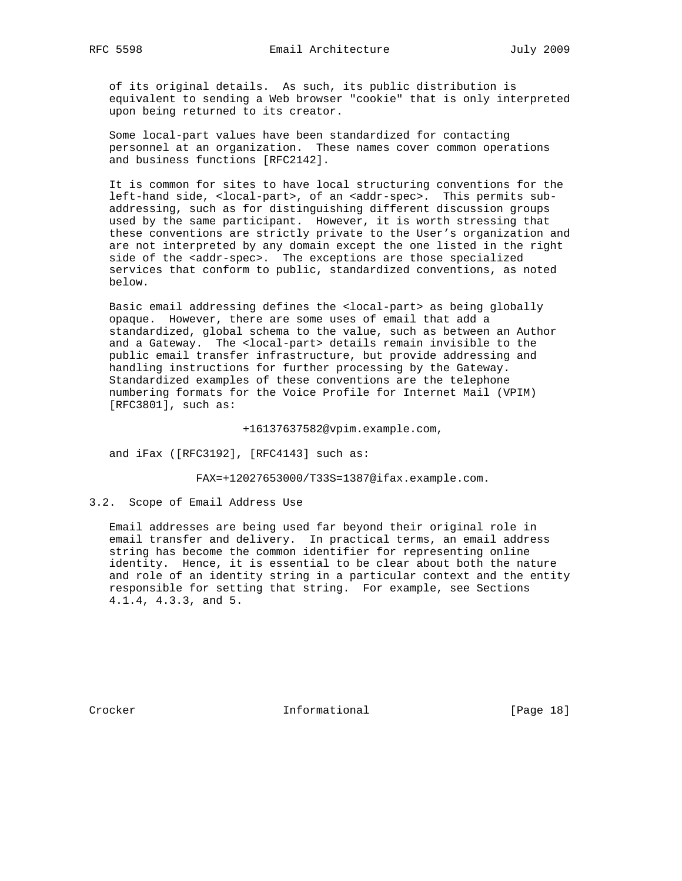of its original details. As such, its public distribution is equivalent to sending a Web browser "cookie" that is only interpreted upon being returned to its creator.

 Some local-part values have been standardized for contacting personnel at an organization. These names cover common operations and business functions [RFC2142].

 It is common for sites to have local structuring conventions for the left-hand side, <local-part>, of an <addr-spec>. This permits sub addressing, such as for distinguishing different discussion groups used by the same participant. However, it is worth stressing that these conventions are strictly private to the User's organization and are not interpreted by any domain except the one listed in the right side of the <addr-spec>. The exceptions are those specialized services that conform to public, standardized conventions, as noted below.

 Basic email addressing defines the <local-part> as being globally opaque. However, there are some uses of email that add a standardized, global schema to the value, such as between an Author and a Gateway. The <local-part> details remain invisible to the public email transfer infrastructure, but provide addressing and handling instructions for further processing by the Gateway. Standardized examples of these conventions are the telephone numbering formats for the Voice Profile for Internet Mail (VPIM) [RFC3801], such as:

+16137637582@vpim.example.com,

and iFax ([RFC3192], [RFC4143] such as:

FAX=+12027653000/T33S=1387@ifax.example.com.

3.2. Scope of Email Address Use

 Email addresses are being used far beyond their original role in email transfer and delivery. In practical terms, an email address string has become the common identifier for representing online identity. Hence, it is essential to be clear about both the nature and role of an identity string in a particular context and the entity responsible for setting that string. For example, see Sections 4.1.4, 4.3.3, and 5.

Crocker **Informational** Informational [Page 18]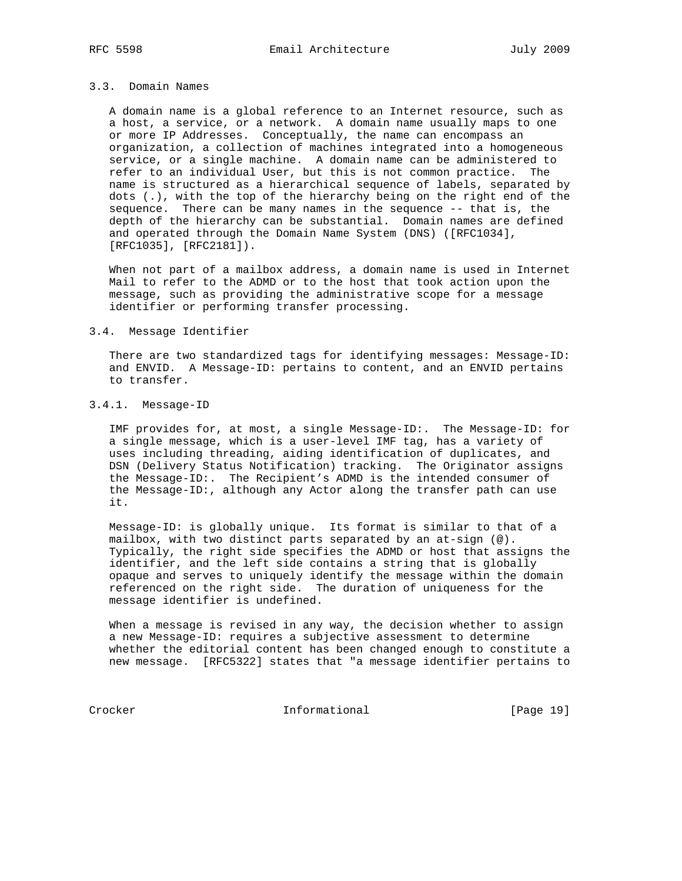# 3.3. Domain Names

 A domain name is a global reference to an Internet resource, such as a host, a service, or a network. A domain name usually maps to one or more IP Addresses. Conceptually, the name can encompass an organization, a collection of machines integrated into a homogeneous service, or a single machine. A domain name can be administered to refer to an individual User, but this is not common practice. The name is structured as a hierarchical sequence of labels, separated by dots (.), with the top of the hierarchy being on the right end of the sequence. There can be many names in the sequence -- that is, the depth of the hierarchy can be substantial. Domain names are defined and operated through the Domain Name System (DNS) ([RFC1034], [RFC1035], [RFC2181]).

 When not part of a mailbox address, a domain name is used in Internet Mail to refer to the ADMD or to the host that took action upon the message, such as providing the administrative scope for a message identifier or performing transfer processing.

#### 3.4. Message Identifier

 There are two standardized tags for identifying messages: Message-ID: and ENVID. A Message-ID: pertains to content, and an ENVID pertains to transfer.

# 3.4.1. Message-ID

 IMF provides for, at most, a single Message-ID:. The Message-ID: for a single message, which is a user-level IMF tag, has a variety of uses including threading, aiding identification of duplicates, and DSN (Delivery Status Notification) tracking. The Originator assigns the Message-ID:. The Recipient's ADMD is the intended consumer of the Message-ID:, although any Actor along the transfer path can use it.

 Message-ID: is globally unique. Its format is similar to that of a mailbox, with two distinct parts separated by an at-sign (@). Typically, the right side specifies the ADMD or host that assigns the identifier, and the left side contains a string that is globally opaque and serves to uniquely identify the message within the domain referenced on the right side. The duration of uniqueness for the message identifier is undefined.

 When a message is revised in any way, the decision whether to assign a new Message-ID: requires a subjective assessment to determine whether the editorial content has been changed enough to constitute a new message. [RFC5322] states that "a message identifier pertains to

Crocker Informational [Page 19]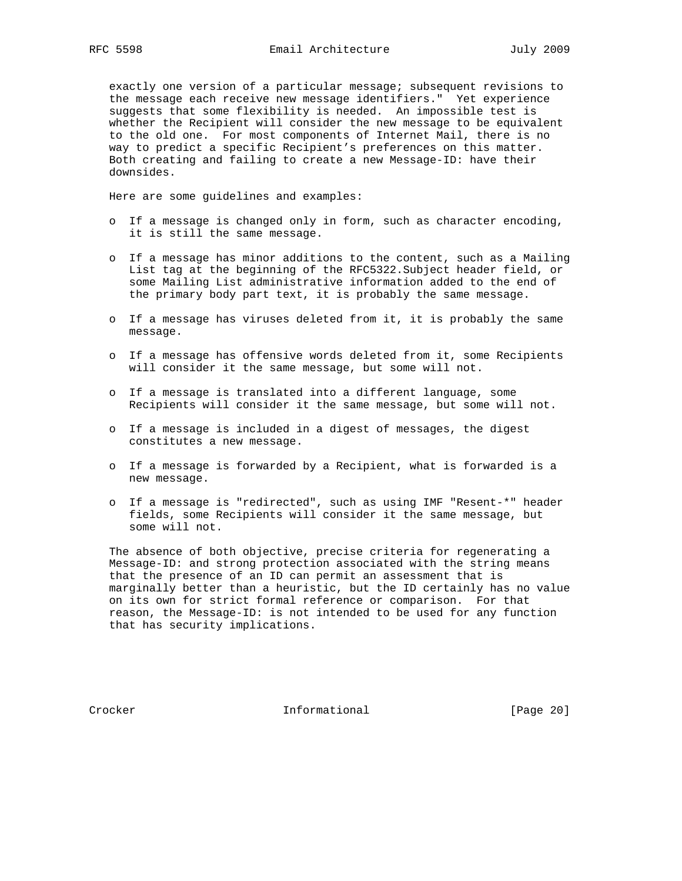exactly one version of a particular message; subsequent revisions to the message each receive new message identifiers." Yet experience suggests that some flexibility is needed. An impossible test is whether the Recipient will consider the new message to be equivalent to the old one. For most components of Internet Mail, there is no way to predict a specific Recipient's preferences on this matter. Both creating and failing to create a new Message-ID: have their downsides.

Here are some guidelines and examples:

- o If a message is changed only in form, such as character encoding, it is still the same message.
- o If a message has minor additions to the content, such as a Mailing List tag at the beginning of the RFC5322.Subject header field, or some Mailing List administrative information added to the end of the primary body part text, it is probably the same message.
- o If a message has viruses deleted from it, it is probably the same message.
- o If a message has offensive words deleted from it, some Recipients will consider it the same message, but some will not.
- o If a message is translated into a different language, some Recipients will consider it the same message, but some will not.
- o If a message is included in a digest of messages, the digest constitutes a new message.
- o If a message is forwarded by a Recipient, what is forwarded is a new message.
- o If a message is "redirected", such as using IMF "Resent-\*" header fields, some Recipients will consider it the same message, but some will not.

 The absence of both objective, precise criteria for regenerating a Message-ID: and strong protection associated with the string means that the presence of an ID can permit an assessment that is marginally better than a heuristic, but the ID certainly has no value on its own for strict formal reference or comparison. For that reason, the Message-ID: is not intended to be used for any function that has security implications.

Crocker **Informational** [Page 20]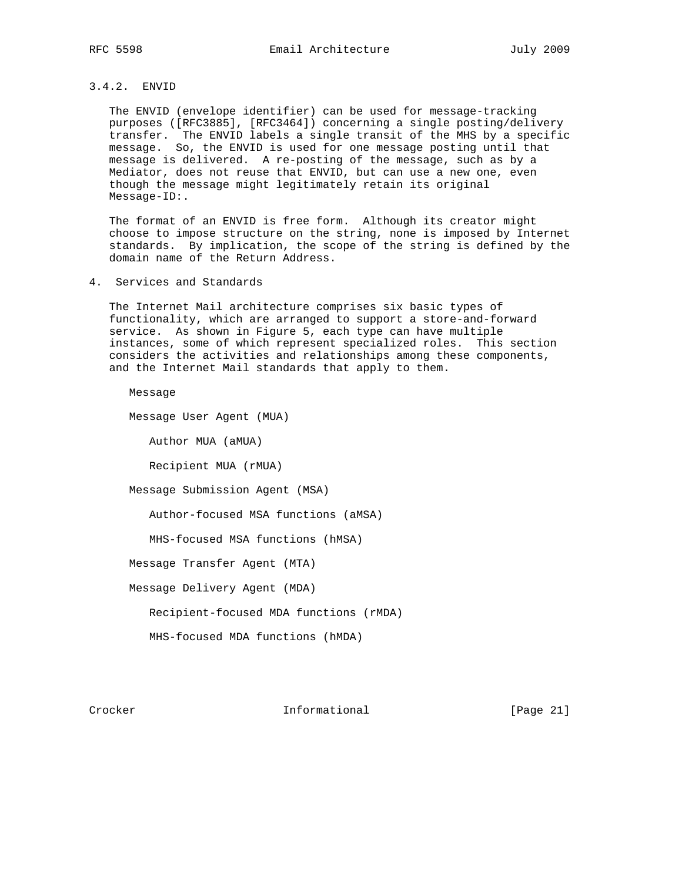# 3.4.2. ENVID

 The ENVID (envelope identifier) can be used for message-tracking purposes ([RFC3885], [RFC3464]) concerning a single posting/delivery transfer. The ENVID labels a single transit of the MHS by a specific message. So, the ENVID is used for one message posting until that message is delivered. A re-posting of the message, such as by a Mediator, does not reuse that ENVID, but can use a new one, even though the message might legitimately retain its original Message-ID:.

 The format of an ENVID is free form. Although its creator might choose to impose structure on the string, none is imposed by Internet standards. By implication, the scope of the string is defined by the domain name of the Return Address.

4. Services and Standards

 The Internet Mail architecture comprises six basic types of functionality, which are arranged to support a store-and-forward service. As shown in Figure 5, each type can have multiple instances, some of which represent specialized roles. This section considers the activities and relationships among these components, and the Internet Mail standards that apply to them.

Message

Message User Agent (MUA)

Author MUA (aMUA)

Recipient MUA (rMUA)

Message Submission Agent (MSA)

Author-focused MSA functions (aMSA)

MHS-focused MSA functions (hMSA)

Message Transfer Agent (MTA)

Message Delivery Agent (MDA)

Recipient-focused MDA functions (rMDA)

MHS-focused MDA functions (hMDA)

Crocker **Informational** [Page 21]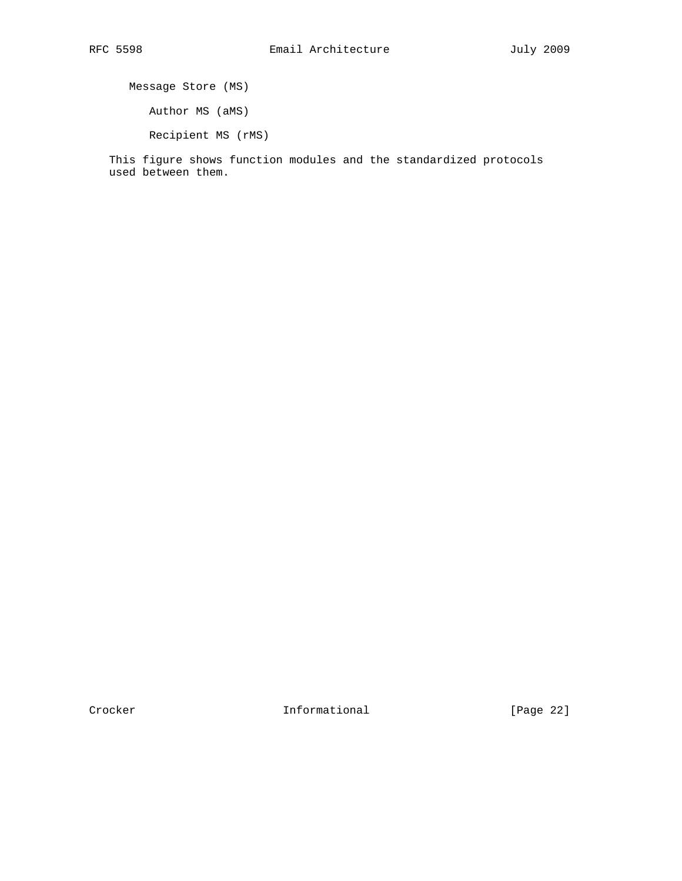Message Store (MS) Author MS (aMS) Recipient MS (rMS)

 This figure shows function modules and the standardized protocols used between them.

Crocker **Informational** [Page 22]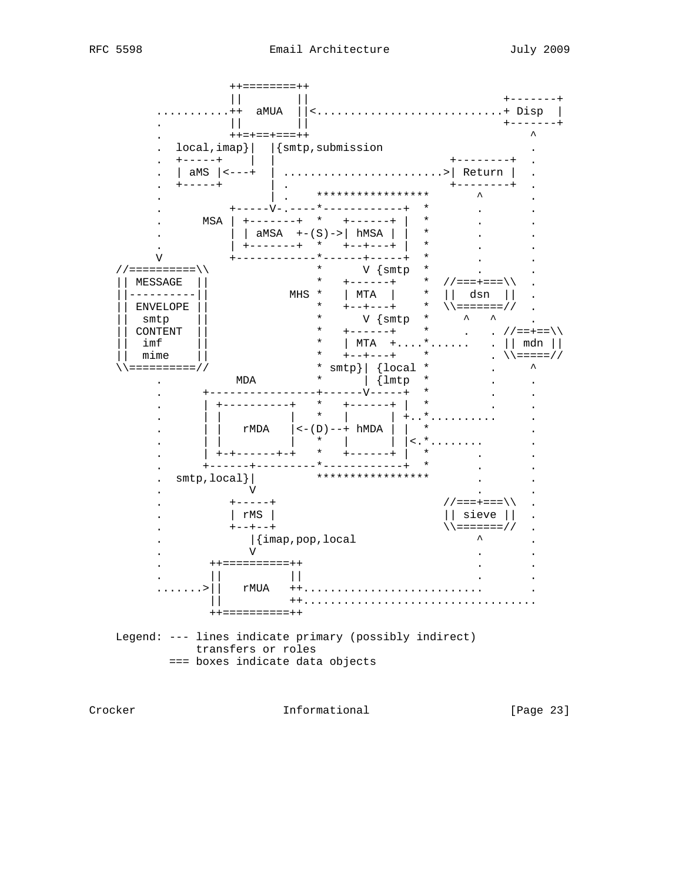$++=$  = = = = = = = + +  $\mathbb{R}$  . The state  $\mathbb{R}$  $+ - - - - - - +$ ............++ aMUA ||<br>. ||<br>. ++=+==+===++  $||\langle$ ..............................+ Disp  $||$  $+ - - - - - - +$  $\lambda$ .  $local, imp$  |  $|\{smtp, submission$  $\cdot$  +-----+  $\vert$  $+ - - - - - - - +$ . | aMS  $| \left| \right| <$ ---+ | ..........................>| Return | . .  $\begin{vmatrix} \frac{am_0}{1} & \cdots & \frac{am_{n-1}}{1} \\ \cdots & \cdots & \cdots \end{vmatrix}$ .  $+ - - - - - - - +$  .  $\vert \cdot \vert$ \*\*\*\*\*\*\*\*\*\*\*\*\*\*\*\*\*  $\lambda$  $\sim 10$ -----------+ \*  $\ddot{\phantom{a}}$  $V$ //===========/ | MESSAGE || ----------||  $\begin{array}{c|c|c|c|c} \text{ENVELOPE} & & & & & & \text{sum}\ \text{supp} & & & & & \text{sum}\ \text{COMTENT} & & & & & \text{sum}\ \text{COMTENT} & & & & & \text{max}\ \text{min}\ & & & & \text{min}\ & & & \text{min}\ & & & \text{min}\ & & & \text{min}\ & & & \text{min}\ & & & \text{min}\ & & & \text{min}\ & & & \text{min}\ & & & \text{min}\ & & & \text{min}\ & & & \text{min}\ & & & \text{min}\ & & & \text{min}\ & & & \text{min}\ & & & \text{min}\ & & & \text{min}\ & &$ | ENVELOPE || .  $\begin{array}{|c|c|c|c|c|c|c|c|} \hline \text{...} & \text{...} & \text{...} & \text{...} & \text{...} \\ \hline \text{...} & \text{...} & \text{...} & \text{...} & \text{...} \\ \hline \text{...} & \text{...} & \text{...} & \text{...} & \text{...} \\ \hline \text{...} & \text{...} & \text{...} & \text{...} & \text{...} \\ \hline \text{...} & \text{...} & \text{...} & \text{...} & \text{...} \\ \hline \text{...} & \text{...} & \text{...} & \text{...} & \text{$ V<sub>V</sub>  $\mathbf{L}^{\text{max}}$ //===+=== $\setminus \setminus$ .  $+ - - - - +$  $\vert$  rMS  $\vert$  $||$  sieve  $||$  $\ddot{\phantom{a}}$  $\setminus$   $\setminus$  ======== / /  $+--+--+$ |{imap,pop,local<br>V  $\ddot{\phantom{0}}$  $\ddot{\phantom{a}}$  $\mathbf{r}$ ++===========++  $\mathbf{L}$  $\mathbb{H}$  and  $\mathbb{H}$  $\Box$  $\ldots \ldots \cdot |$   $\vdots$   $\vdots$   $\vdots$   $\vdots$   $\vdots$   $\vdots$   $\vdots$   $\vdots$   $\vdots$   $\vdots$   $\vdots$   $\vdots$   $\vdots$   $\vdots$   $\vdots$   $\vdots$   $\vdots$   $\vdots$   $\vdots$   $\vdots$   $\vdots$   $\vdots$   $\vdots$   $\vdots$   $\vdots$   $\vdots$   $\vdots$   $\vdots$   $\vdots$   $\vdots$   $\vdots$   $\vdots$   $\vdots$   $\vdots$   $\vdots$ ++==========++ Legend: --- lines indicate primary (possibly indirect) transfers or roles === boxes indicate data objects

Crocker

Informational

[Page 23]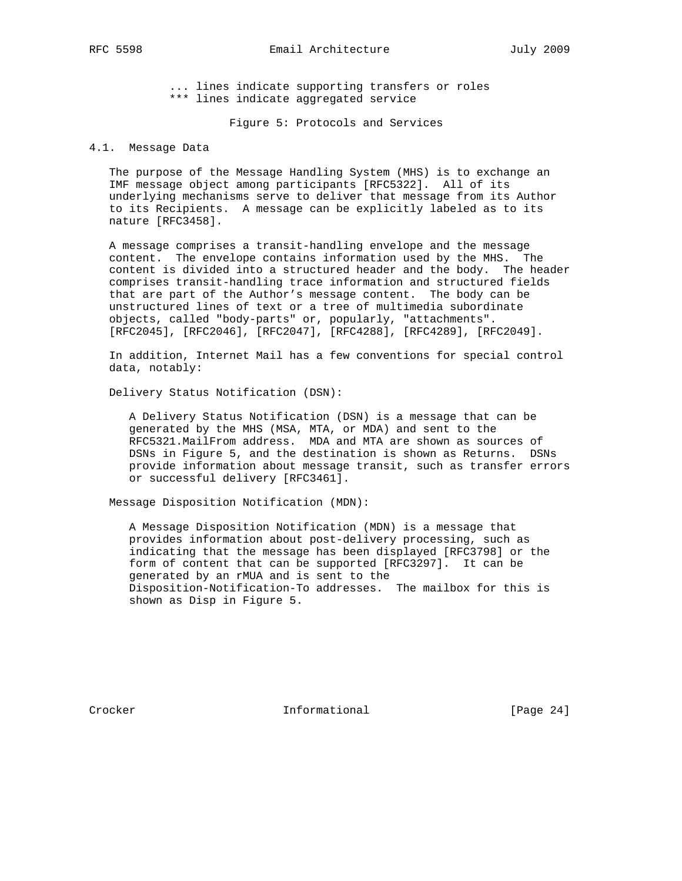... lines indicate supporting transfers or roles \*\*\* lines indicate aggregated service

Figure 5: Protocols and Services

# 4.1. Message Data

 The purpose of the Message Handling System (MHS) is to exchange an IMF message object among participants [RFC5322]. All of its underlying mechanisms serve to deliver that message from its Author to its Recipients. A message can be explicitly labeled as to its nature [RFC3458].

 A message comprises a transit-handling envelope and the message content. The envelope contains information used by the MHS. The content is divided into a structured header and the body. The header comprises transit-handling trace information and structured fields that are part of the Author's message content. The body can be unstructured lines of text or a tree of multimedia subordinate objects, called "body-parts" or, popularly, "attachments". [RFC2045], [RFC2046], [RFC2047], [RFC4288], [RFC4289], [RFC2049].

 In addition, Internet Mail has a few conventions for special control data, notably:

Delivery Status Notification (DSN):

 A Delivery Status Notification (DSN) is a message that can be generated by the MHS (MSA, MTA, or MDA) and sent to the RFC5321.MailFrom address. MDA and MTA are shown as sources of DSNs in Figure 5, and the destination is shown as Returns. DSNs provide information about message transit, such as transfer errors or successful delivery [RFC3461].

Message Disposition Notification (MDN):

 A Message Disposition Notification (MDN) is a message that provides information about post-delivery processing, such as indicating that the message has been displayed [RFC3798] or the form of content that can be supported [RFC3297]. It can be generated by an rMUA and is sent to the Disposition-Notification-To addresses. The mailbox for this is shown as Disp in Figure 5.

Crocker **Informational** [Page 24]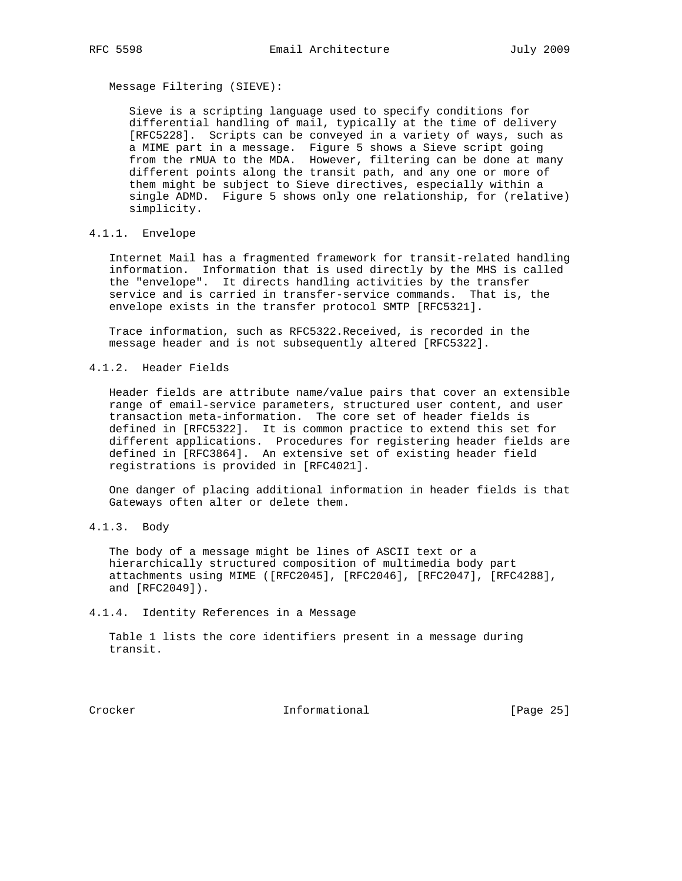Message Filtering (SIEVE):

 Sieve is a scripting language used to specify conditions for differential handling of mail, typically at the time of delivery [RFC5228]. Scripts can be conveyed in a variety of ways, such as a MIME part in a message. Figure 5 shows a Sieve script going from the rMUA to the MDA. However, filtering can be done at many different points along the transit path, and any one or more of them might be subject to Sieve directives, especially within a single ADMD. Figure 5 shows only one relationship, for (relative) simplicity.

4.1.1. Envelope

 Internet Mail has a fragmented framework for transit-related handling information. Information that is used directly by the MHS is called the "envelope". It directs handling activities by the transfer service and is carried in transfer-service commands. That is, the envelope exists in the transfer protocol SMTP [RFC5321].

 Trace information, such as RFC5322.Received, is recorded in the message header and is not subsequently altered [RFC5322].

4.1.2. Header Fields

 Header fields are attribute name/value pairs that cover an extensible range of email-service parameters, structured user content, and user transaction meta-information. The core set of header fields is defined in [RFC5322]. It is common practice to extend this set for different applications. Procedures for registering header fields are defined in [RFC3864]. An extensive set of existing header field registrations is provided in [RFC4021].

 One danger of placing additional information in header fields is that Gateways often alter or delete them.

4.1.3. Body

 The body of a message might be lines of ASCII text or a hierarchically structured composition of multimedia body part attachments using MIME ([RFC2045], [RFC2046], [RFC2047], [RFC4288], and [RFC2049]).

4.1.4. Identity References in a Message

 Table 1 lists the core identifiers present in a message during transit.

Crocker Informational [Page 25]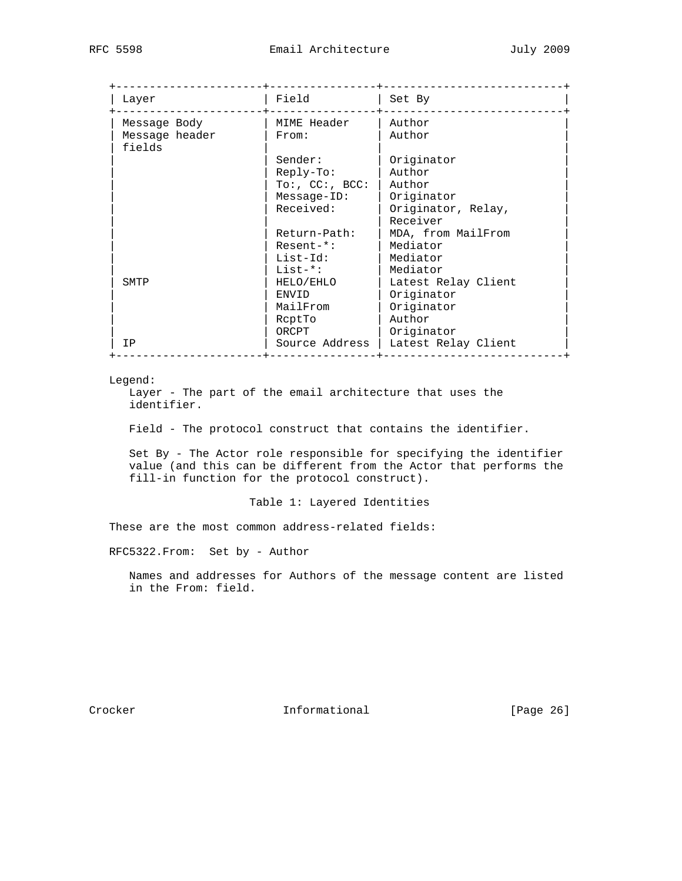| Layer                    | Field          | Set By              |
|--------------------------|----------------|---------------------|
| Message Body             | MIME Header    | Author              |
| Message header<br>fields | From:          | Author              |
|                          | Sender:        | Originator          |
|                          | $Reply-To:$    | Author              |
|                          | To: C'C: ABCC: | Author              |
|                          | $Message-ID:$  | Originator          |
|                          | Received:      | Originator, Relay,  |
|                          |                | Receiver            |
|                          | Return-Path:   | MDA, from MailFrom  |
|                          | $Resent-*$ :   | Mediator            |
|                          | List-Id:       | Mediator            |
|                          | $List-*:$      | Mediator            |
| SMTP                     | HELO/EHLO      | Latest Relay Client |
|                          | ENVID          | Originator          |
|                          | MailFrom       | Originator          |
|                          | RcptTo         | Author              |
|                          | ORCPT          | Originator          |
| T <sub>P</sub>           | Source Address | Latest Relay Client |

### Legend:

 Layer - The part of the email architecture that uses the identifier.

Field - The protocol construct that contains the identifier.

 Set By - The Actor role responsible for specifying the identifier value (and this can be different from the Actor that performs the fill-in function for the protocol construct).

Table 1: Layered Identities

These are the most common address-related fields:

RFC5322.From: Set by - Author

 Names and addresses for Authors of the message content are listed in the From: field.

Crocker **Informational** [Page 26]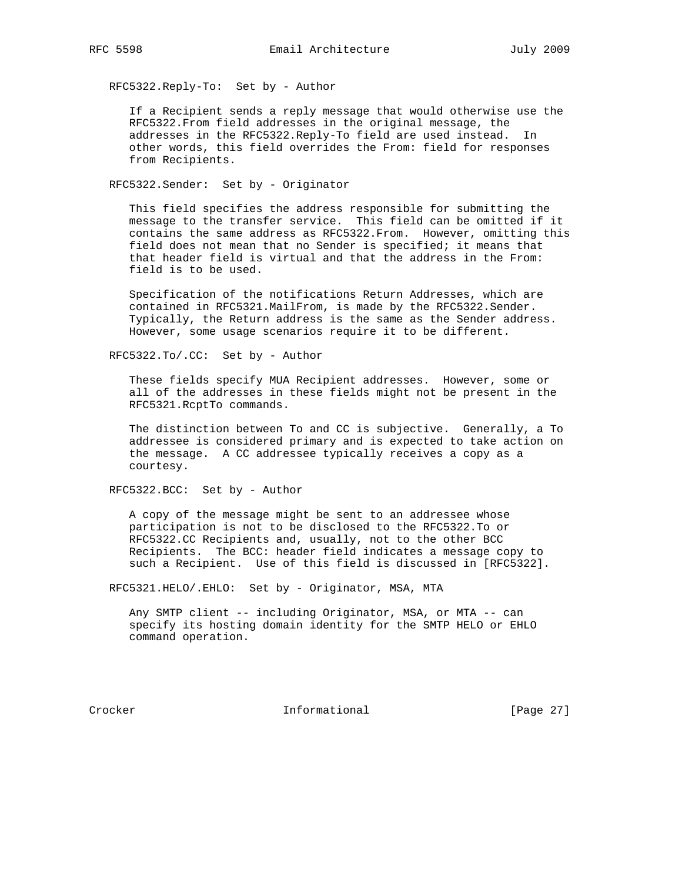RFC5322.Reply-To: Set by - Author

 If a Recipient sends a reply message that would otherwise use the RFC5322.From field addresses in the original message, the addresses in the RFC5322.Reply-To field are used instead. In other words, this field overrides the From: field for responses from Recipients.

RFC5322.Sender: Set by - Originator

 This field specifies the address responsible for submitting the message to the transfer service. This field can be omitted if it contains the same address as RFC5322.From. However, omitting this field does not mean that no Sender is specified; it means that that header field is virtual and that the address in the From: field is to be used.

 Specification of the notifications Return Addresses, which are contained in RFC5321.MailFrom, is made by the RFC5322.Sender. Typically, the Return address is the same as the Sender address. However, some usage scenarios require it to be different.

RFC5322.To/.CC: Set by - Author

 These fields specify MUA Recipient addresses. However, some or all of the addresses in these fields might not be present in the RFC5321.RcptTo commands.

 The distinction between To and CC is subjective. Generally, a To addressee is considered primary and is expected to take action on the message. A CC addressee typically receives a copy as a courtesy.

RFC5322.BCC: Set by - Author

 A copy of the message might be sent to an addressee whose participation is not to be disclosed to the RFC5322.To or RFC5322.CC Recipients and, usually, not to the other BCC Recipients. The BCC: header field indicates a message copy to such a Recipient. Use of this field is discussed in [RFC5322].

RFC5321.HELO/.EHLO: Set by - Originator, MSA, MTA

 Any SMTP client -- including Originator, MSA, or MTA -- can specify its hosting domain identity for the SMTP HELO or EHLO command operation.

Crocker **Informational** [Page 27]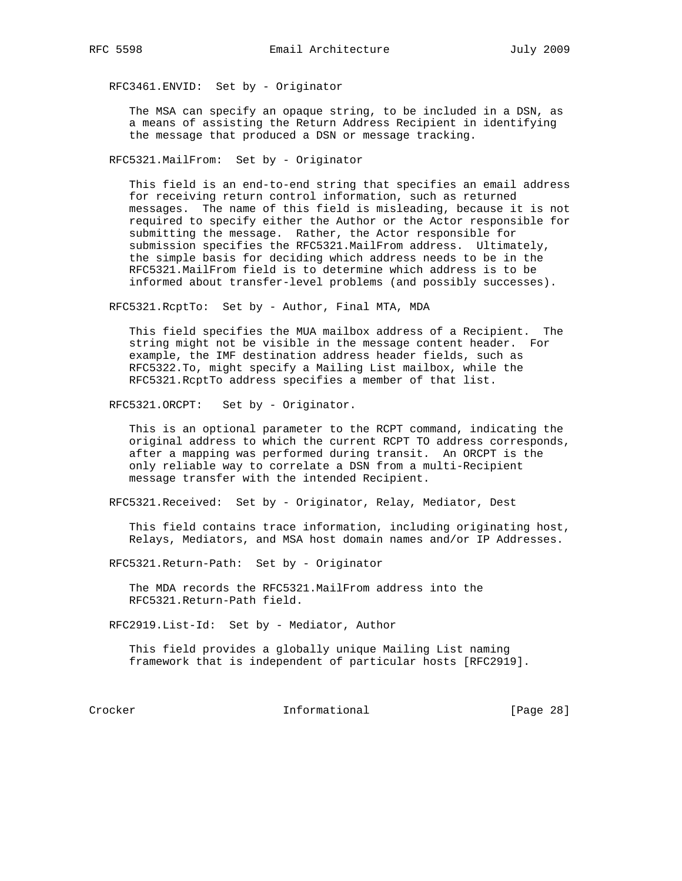RFC3461.ENVID: Set by - Originator

 The MSA can specify an opaque string, to be included in a DSN, as a means of assisting the Return Address Recipient in identifying the message that produced a DSN or message tracking.

RFC5321.MailFrom: Set by - Originator

 This field is an end-to-end string that specifies an email address for receiving return control information, such as returned messages. The name of this field is misleading, because it is not required to specify either the Author or the Actor responsible for submitting the message. Rather, the Actor responsible for submission specifies the RFC5321.MailFrom address. Ultimately, the simple basis for deciding which address needs to be in the RFC5321.MailFrom field is to determine which address is to be informed about transfer-level problems (and possibly successes).

RFC5321.RcptTo: Set by - Author, Final MTA, MDA

 This field specifies the MUA mailbox address of a Recipient. The string might not be visible in the message content header. For example, the IMF destination address header fields, such as RFC5322.To, might specify a Mailing List mailbox, while the RFC5321.RcptTo address specifies a member of that list.

RFC5321.ORCPT: Set by - Originator.

 This is an optional parameter to the RCPT command, indicating the original address to which the current RCPT TO address corresponds, after a mapping was performed during transit. An ORCPT is the only reliable way to correlate a DSN from a multi-Recipient message transfer with the intended Recipient.

RFC5321.Received: Set by - Originator, Relay, Mediator, Dest

 This field contains trace information, including originating host, Relays, Mediators, and MSA host domain names and/or IP Addresses.

RFC5321.Return-Path: Set by - Originator

 The MDA records the RFC5321.MailFrom address into the RFC5321.Return-Path field.

RFC2919.List-Id: Set by - Mediator, Author

 This field provides a globally unique Mailing List naming framework that is independent of particular hosts [RFC2919].

Crocker Informational [Page 28]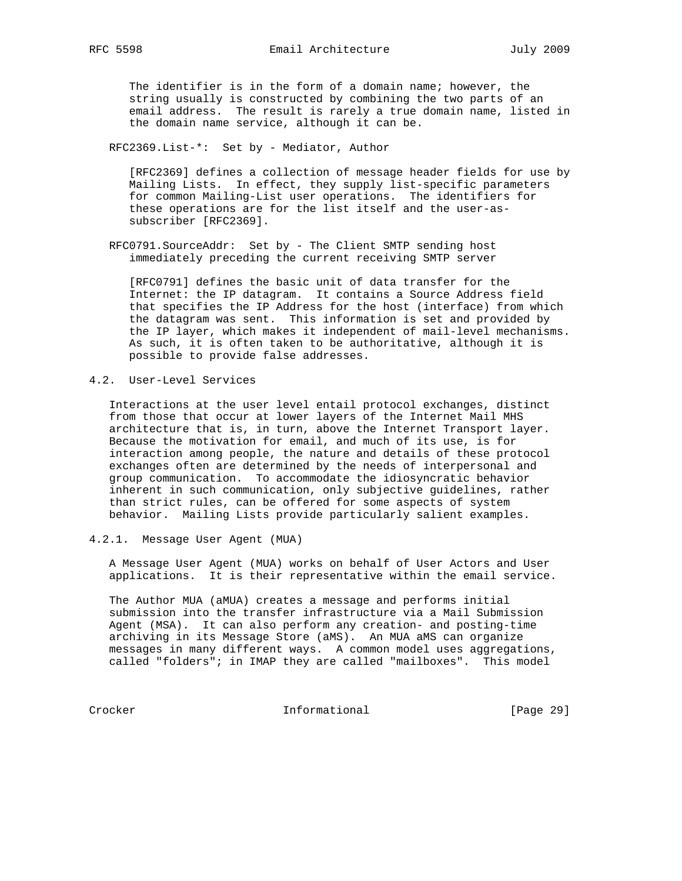The identifier is in the form of a domain name; however, the string usually is constructed by combining the two parts of an email address. The result is rarely a true domain name, listed in the domain name service, although it can be.

RFC2369.List-\*: Set by - Mediator, Author

 [RFC2369] defines a collection of message header fields for use by Mailing Lists. In effect, they supply list-specific parameters for common Mailing-List user operations. The identifiers for these operations are for the list itself and the user-as subscriber [RFC2369].

 RFC0791.SourceAddr: Set by - The Client SMTP sending host immediately preceding the current receiving SMTP server

 [RFC0791] defines the basic unit of data transfer for the Internet: the IP datagram. It contains a Source Address field that specifies the IP Address for the host (interface) from which the datagram was sent. This information is set and provided by the IP layer, which makes it independent of mail-level mechanisms. As such, it is often taken to be authoritative, although it is possible to provide false addresses.

4.2. User-Level Services

 Interactions at the user level entail protocol exchanges, distinct from those that occur at lower layers of the Internet Mail MHS architecture that is, in turn, above the Internet Transport layer. Because the motivation for email, and much of its use, is for interaction among people, the nature and details of these protocol exchanges often are determined by the needs of interpersonal and group communication. To accommodate the idiosyncratic behavior inherent in such communication, only subjective guidelines, rather than strict rules, can be offered for some aspects of system behavior. Mailing Lists provide particularly salient examples.

4.2.1. Message User Agent (MUA)

 A Message User Agent (MUA) works on behalf of User Actors and User applications. It is their representative within the email service.

 The Author MUA (aMUA) creates a message and performs initial submission into the transfer infrastructure via a Mail Submission Agent (MSA). It can also perform any creation- and posting-time archiving in its Message Store (aMS). An MUA aMS can organize messages in many different ways. A common model uses aggregations, called "folders"; in IMAP they are called "mailboxes". This model

Crocker **Informational** [Page 29]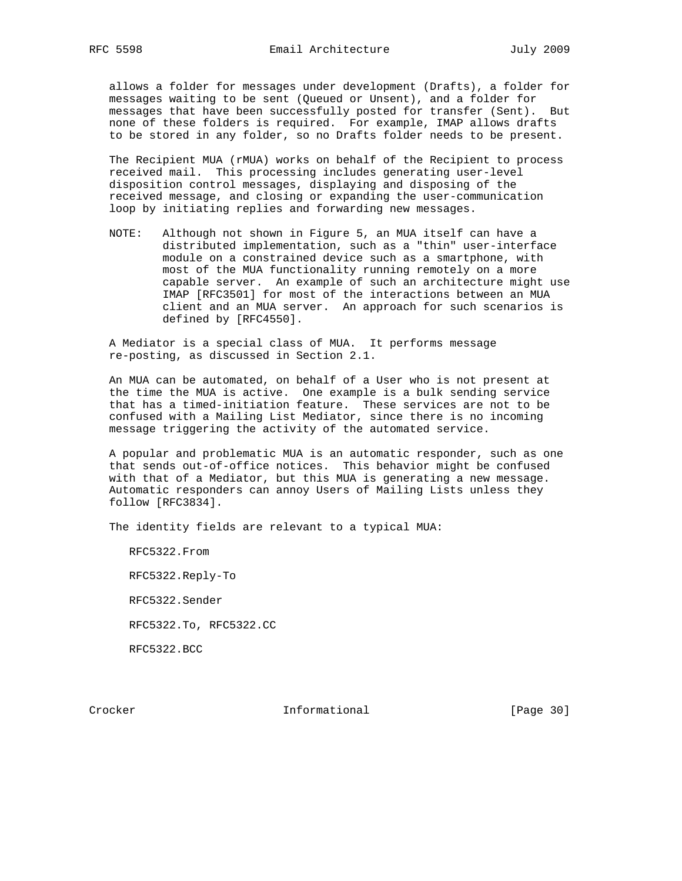allows a folder for messages under development (Drafts), a folder for messages waiting to be sent (Queued or Unsent), and a folder for messages that have been successfully posted for transfer (Sent). But none of these folders is required. For example, IMAP allows drafts to be stored in any folder, so no Drafts folder needs to be present.

 The Recipient MUA (rMUA) works on behalf of the Recipient to process received mail. This processing includes generating user-level disposition control messages, displaying and disposing of the received message, and closing or expanding the user-communication loop by initiating replies and forwarding new messages.

 NOTE: Although not shown in Figure 5, an MUA itself can have a distributed implementation, such as a "thin" user-interface module on a constrained device such as a smartphone, with most of the MUA functionality running remotely on a more capable server. An example of such an architecture might use IMAP [RFC3501] for most of the interactions between an MUA client and an MUA server. An approach for such scenarios is defined by [RFC4550].

 A Mediator is a special class of MUA. It performs message re-posting, as discussed in Section 2.1.

 An MUA can be automated, on behalf of a User who is not present at the time the MUA is active. One example is a bulk sending service that has a timed-initiation feature. These services are not to be confused with a Mailing List Mediator, since there is no incoming message triggering the activity of the automated service.

 A popular and problematic MUA is an automatic responder, such as one that sends out-of-office notices. This behavior might be confused with that of a Mediator, but this MUA is generating a new message. Automatic responders can annoy Users of Mailing Lists unless they follow [RFC3834].

The identity fields are relevant to a typical MUA:

 RFC5322.From RFC5322.Reply-To RFC5322.Sender RFC5322.To, RFC5322.CC RFC5322.BCC

Crocker **Informational** Informational [Page 30]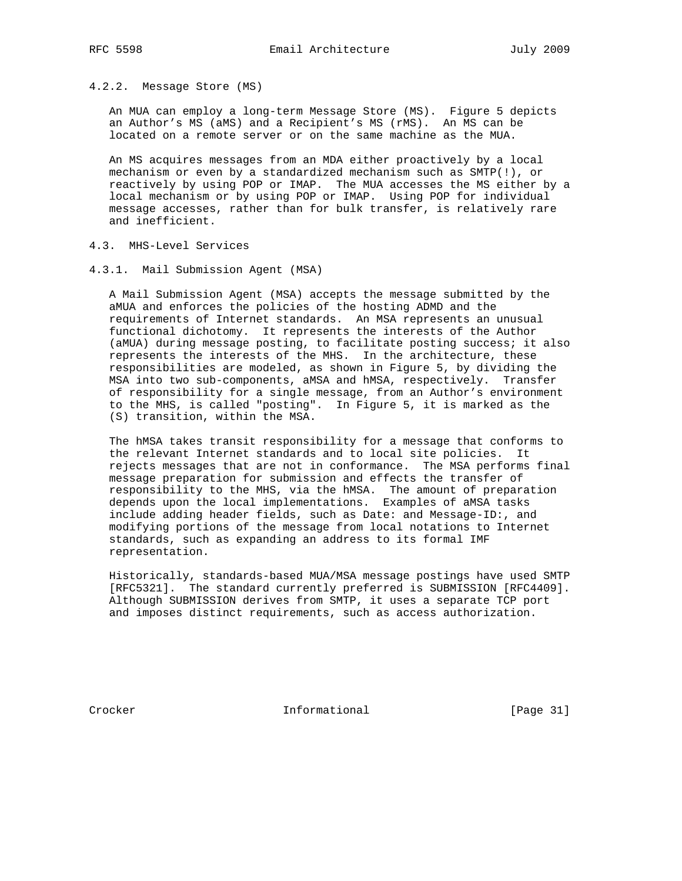4.2.2. Message Store (MS)

 An MUA can employ a long-term Message Store (MS). Figure 5 depicts an Author's MS (aMS) and a Recipient's MS (rMS). An MS can be located on a remote server or on the same machine as the MUA.

 An MS acquires messages from an MDA either proactively by a local mechanism or even by a standardized mechanism such as SMTP(!), or reactively by using POP or IMAP. The MUA accesses the MS either by a local mechanism or by using POP or IMAP. Using POP for individual message accesses, rather than for bulk transfer, is relatively rare and inefficient.

- 4.3. MHS-Level Services
- 4.3.1. Mail Submission Agent (MSA)

 A Mail Submission Agent (MSA) accepts the message submitted by the aMUA and enforces the policies of the hosting ADMD and the requirements of Internet standards. An MSA represents an unusual functional dichotomy. It represents the interests of the Author (aMUA) during message posting, to facilitate posting success; it also represents the interests of the MHS. In the architecture, these responsibilities are modeled, as shown in Figure 5, by dividing the MSA into two sub-components, aMSA and hMSA, respectively. Transfer of responsibility for a single message, from an Author's environment to the MHS, is called "posting". In Figure 5, it is marked as the (S) transition, within the MSA.

 The hMSA takes transit responsibility for a message that conforms to the relevant Internet standards and to local site policies. It rejects messages that are not in conformance. The MSA performs final message preparation for submission and effects the transfer of responsibility to the MHS, via the hMSA. The amount of preparation depends upon the local implementations. Examples of aMSA tasks include adding header fields, such as Date: and Message-ID:, and modifying portions of the message from local notations to Internet standards, such as expanding an address to its formal IMF representation.

 Historically, standards-based MUA/MSA message postings have used SMTP [RFC5321]. The standard currently preferred is SUBMISSION [RFC4409]. Although SUBMISSION derives from SMTP, it uses a separate TCP port and imposes distinct requirements, such as access authorization.

Crocker Informational [Page 31]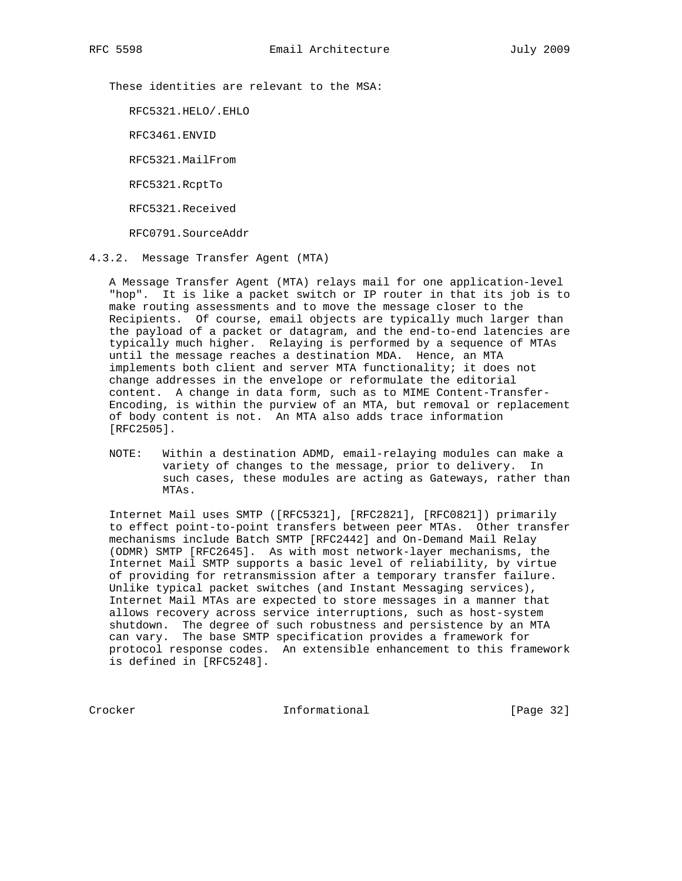These identities are relevant to the MSA:

RFC5321.HELO/.EHLO

RFC3461.ENVID

RFC5321.MailFrom

RFC5321.RcptTo

RFC5321.Received

RFC0791.SourceAddr

4.3.2. Message Transfer Agent (MTA)

 A Message Transfer Agent (MTA) relays mail for one application-level "hop". It is like a packet switch or IP router in that its job is to make routing assessments and to move the message closer to the Recipients. Of course, email objects are typically much larger than the payload of a packet or datagram, and the end-to-end latencies are typically much higher. Relaying is performed by a sequence of MTAs until the message reaches a destination MDA. Hence, an MTA implements both client and server MTA functionality; it does not change addresses in the envelope or reformulate the editorial content. A change in data form, such as to MIME Content-Transfer- Encoding, is within the purview of an MTA, but removal or replacement of body content is not. An MTA also adds trace information [RFC2505].

 NOTE: Within a destination ADMD, email-relaying modules can make a variety of changes to the message, prior to delivery. In such cases, these modules are acting as Gateways, rather than MTAs.

 Internet Mail uses SMTP ([RFC5321], [RFC2821], [RFC0821]) primarily to effect point-to-point transfers between peer MTAs. Other transfer mechanisms include Batch SMTP [RFC2442] and On-Demand Mail Relay (ODMR) SMTP [RFC2645]. As with most network-layer mechanisms, the Internet Mail SMTP supports a basic level of reliability, by virtue of providing for retransmission after a temporary transfer failure. Unlike typical packet switches (and Instant Messaging services), Internet Mail MTAs are expected to store messages in a manner that allows recovery across service interruptions, such as host-system shutdown. The degree of such robustness and persistence by an MTA can vary. The base SMTP specification provides a framework for protocol response codes. An extensible enhancement to this framework is defined in [RFC5248].

Crocker Informational [Page 32]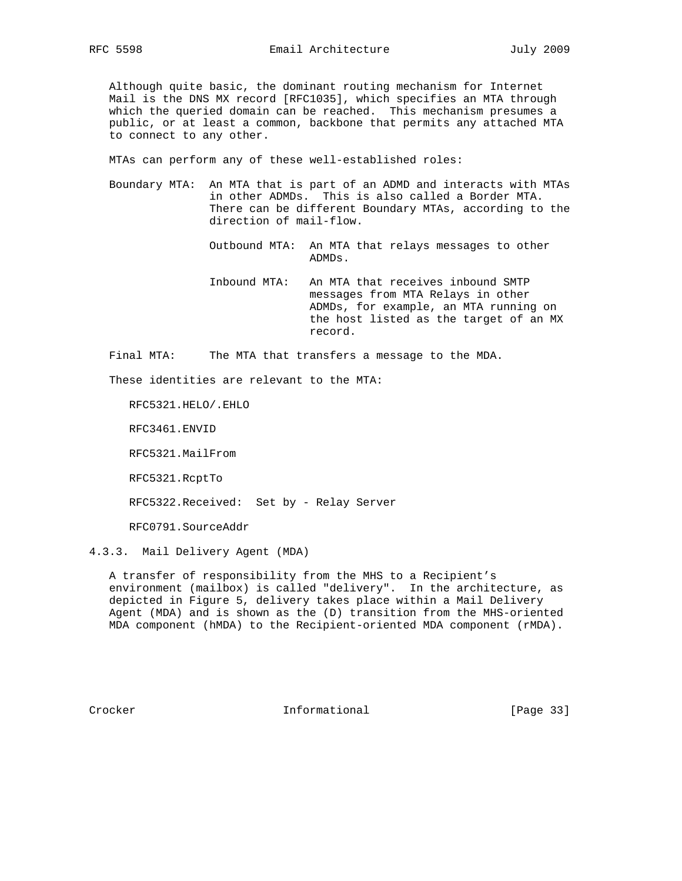Although quite basic, the dominant routing mechanism for Internet Mail is the DNS MX record [RFC1035], which specifies an MTA through which the queried domain can be reached. This mechanism presumes a public, or at least a common, backbone that permits any attached MTA to connect to any other.

MTAs can perform any of these well-established roles:

 Boundary MTA: An MTA that is part of an ADMD and interacts with MTAs in other ADMDs. This is also called a Border MTA. There can be different Boundary MTAs, according to the direction of mail-flow.

> Outbound MTA: An MTA that relays messages to other ADMDs.

 Inbound MTA: An MTA that receives inbound SMTP messages from MTA Relays in other ADMDs, for example, an MTA running on the host listed as the target of an MX record.

Final MTA: The MTA that transfers a message to the MDA.

These identities are relevant to the MTA:

RFC5321.HELO/.EHLO

RFC3461.ENVID

RFC5321.MailFrom

RFC5321.RcptTo

RFC5322.Received: Set by - Relay Server

RFC0791.SourceAddr

4.3.3. Mail Delivery Agent (MDA)

 A transfer of responsibility from the MHS to a Recipient's environment (mailbox) is called "delivery". In the architecture, as depicted in Figure 5, delivery takes place within a Mail Delivery Agent (MDA) and is shown as the (D) transition from the MHS-oriented MDA component (hMDA) to the Recipient-oriented MDA component (rMDA).

Crocker **Informational** [Page 33]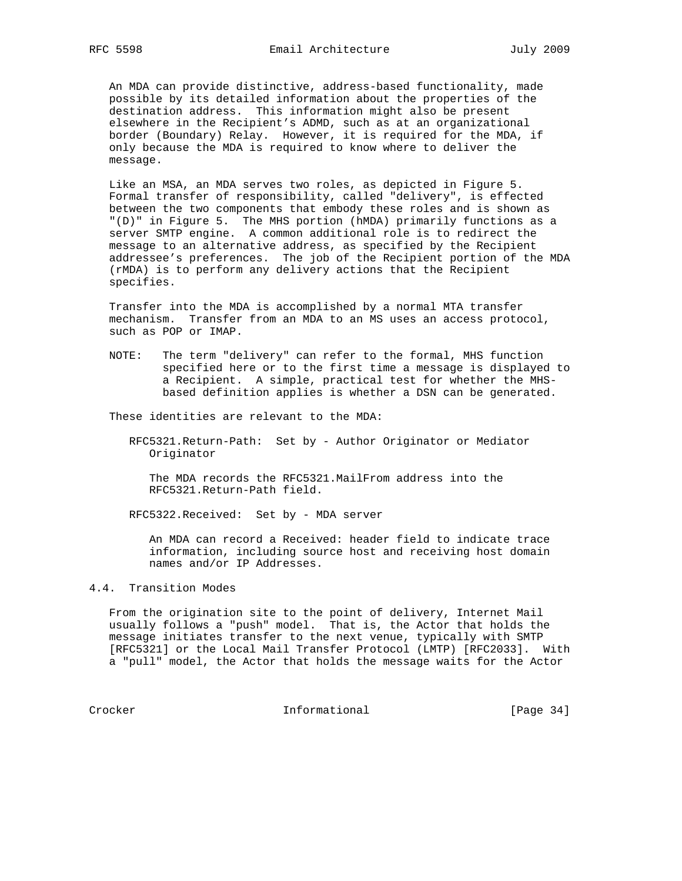An MDA can provide distinctive, address-based functionality, made possible by its detailed information about the properties of the destination address. This information might also be present elsewhere in the Recipient's ADMD, such as at an organizational border (Boundary) Relay. However, it is required for the MDA, if only because the MDA is required to know where to deliver the message.

 Like an MSA, an MDA serves two roles, as depicted in Figure 5. Formal transfer of responsibility, called "delivery", is effected between the two components that embody these roles and is shown as "(D)" in Figure 5. The MHS portion (hMDA) primarily functions as a server SMTP engine. A common additional role is to redirect the message to an alternative address, as specified by the Recipient addressee's preferences. The job of the Recipient portion of the MDA (rMDA) is to perform any delivery actions that the Recipient specifies.

 Transfer into the MDA is accomplished by a normal MTA transfer mechanism. Transfer from an MDA to an MS uses an access protocol, such as POP or IMAP.

 NOTE: The term "delivery" can refer to the formal, MHS function specified here or to the first time a message is displayed to a Recipient. A simple, practical test for whether the MHS based definition applies is whether a DSN can be generated.

These identities are relevant to the MDA:

 RFC5321.Return-Path: Set by - Author Originator or Mediator Originator

 The MDA records the RFC5321.MailFrom address into the RFC5321.Return-Path field.

RFC5322.Received: Set by - MDA server

 An MDA can record a Received: header field to indicate trace information, including source host and receiving host domain names and/or IP Addresses.

# 4.4. Transition Modes

 From the origination site to the point of delivery, Internet Mail usually follows a "push" model. That is, the Actor that holds the message initiates transfer to the next venue, typically with SMTP [RFC5321] or the Local Mail Transfer Protocol (LMTP) [RFC2033]. With a "pull" model, the Actor that holds the message waits for the Actor

Crocker Informational [Page 34]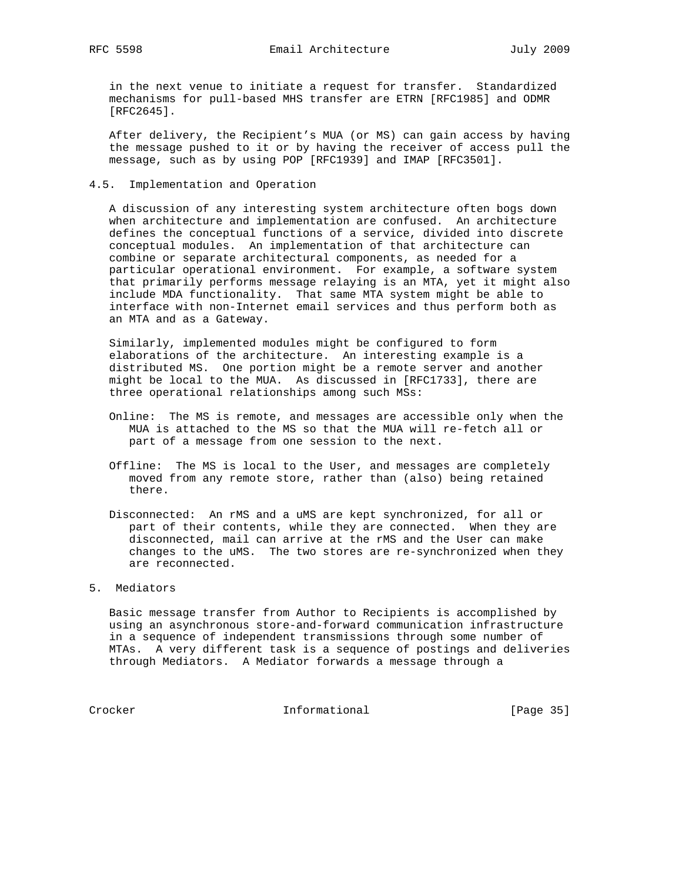in the next venue to initiate a request for transfer. Standardized mechanisms for pull-based MHS transfer are ETRN [RFC1985] and ODMR [RFC2645].

 After delivery, the Recipient's MUA (or MS) can gain access by having the message pushed to it or by having the receiver of access pull the message, such as by using POP [RFC1939] and IMAP [RFC3501].

4.5. Implementation and Operation

 A discussion of any interesting system architecture often bogs down when architecture and implementation are confused. An architecture defines the conceptual functions of a service, divided into discrete conceptual modules. An implementation of that architecture can combine or separate architectural components, as needed for a particular operational environment. For example, a software system that primarily performs message relaying is an MTA, yet it might also include MDA functionality. That same MTA system might be able to interface with non-Internet email services and thus perform both as an MTA and as a Gateway.

 Similarly, implemented modules might be configured to form elaborations of the architecture. An interesting example is a distributed MS. One portion might be a remote server and another might be local to the MUA. As discussed in [RFC1733], there are three operational relationships among such MSs:

- Online: The MS is remote, and messages are accessible only when the MUA is attached to the MS so that the MUA will re-fetch all or part of a message from one session to the next.
- Offline: The MS is local to the User, and messages are completely moved from any remote store, rather than (also) being retained there.
- Disconnected: An rMS and a uMS are kept synchronized, for all or part of their contents, while they are connected. When they are disconnected, mail can arrive at the rMS and the User can make changes to the uMS. The two stores are re-synchronized when they are reconnected.

# 5. Mediators

 Basic message transfer from Author to Recipients is accomplished by using an asynchronous store-and-forward communication infrastructure in a sequence of independent transmissions through some number of MTAs. A very different task is a sequence of postings and deliveries through Mediators. A Mediator forwards a message through a

Crocker **Informational** [Page 35]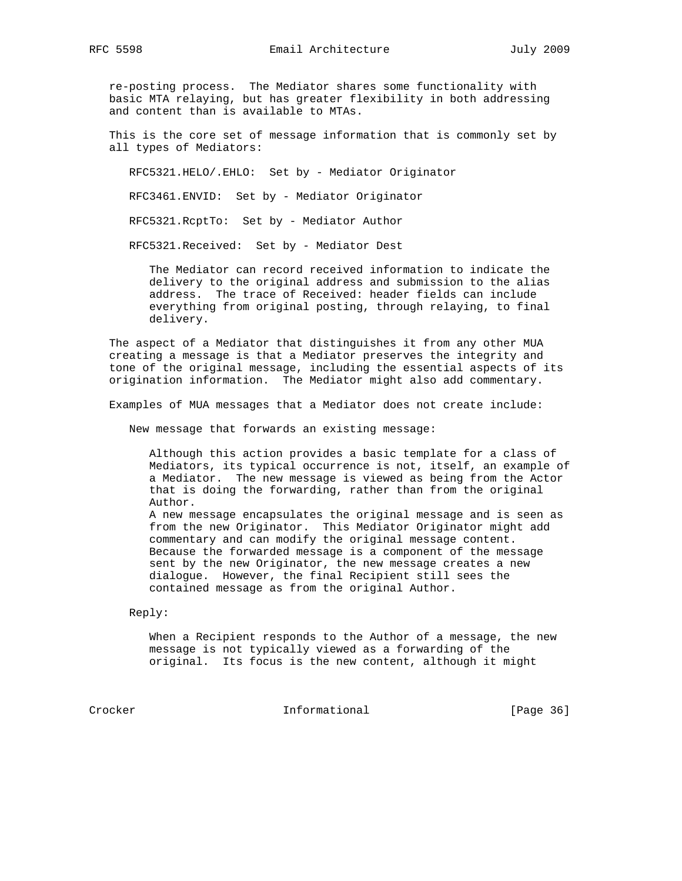re-posting process. The Mediator shares some functionality with basic MTA relaying, but has greater flexibility in both addressing and content than is available to MTAs.

 This is the core set of message information that is commonly set by all types of Mediators:

RFC5321.HELO/.EHLO: Set by - Mediator Originator

RFC3461.ENVID: Set by - Mediator Originator

RFC5321.RcptTo: Set by - Mediator Author

RFC5321.Received: Set by - Mediator Dest

 The Mediator can record received information to indicate the delivery to the original address and submission to the alias address. The trace of Received: header fields can include everything from original posting, through relaying, to final delivery.

 The aspect of a Mediator that distinguishes it from any other MUA creating a message is that a Mediator preserves the integrity and tone of the original message, including the essential aspects of its origination information. The Mediator might also add commentary.

Examples of MUA messages that a Mediator does not create include:

New message that forwards an existing message:

 Although this action provides a basic template for a class of Mediators, its typical occurrence is not, itself, an example of a Mediator. The new message is viewed as being from the Actor that is doing the forwarding, rather than from the original Author. A new message encapsulates the original message and is seen as

 from the new Originator. This Mediator Originator might add commentary and can modify the original message content. Because the forwarded message is a component of the message sent by the new Originator, the new message creates a new dialogue. However, the final Recipient still sees the contained message as from the original Author.

Reply:

 When a Recipient responds to the Author of a message, the new message is not typically viewed as a forwarding of the original. Its focus is the new content, although it might

Crocker Informational [Page 36]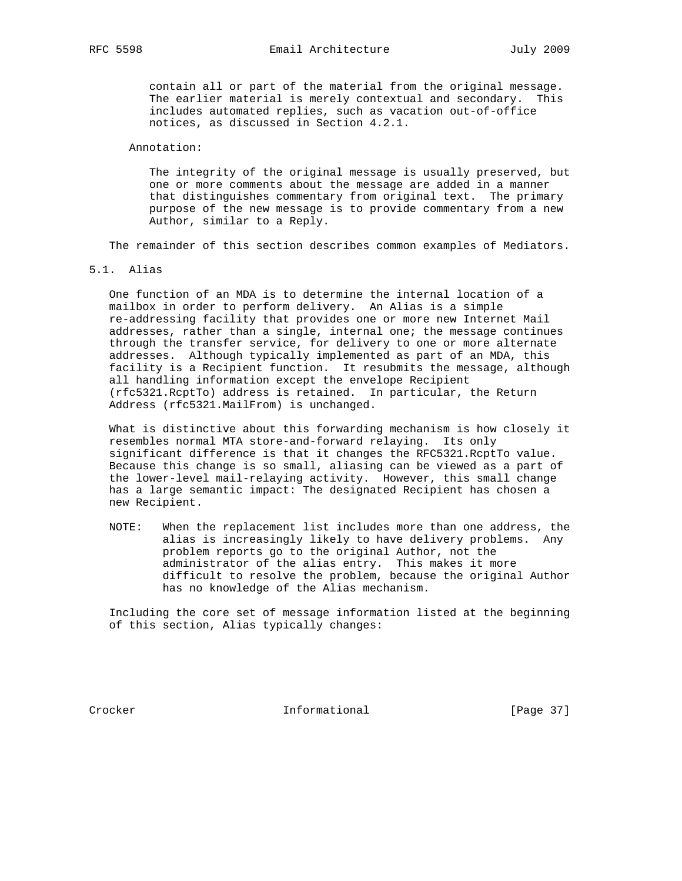contain all or part of the material from the original message. The earlier material is merely contextual and secondary. This includes automated replies, such as vacation out-of-office notices, as discussed in Section 4.2.1.

### Annotation:

 The integrity of the original message is usually preserved, but one or more comments about the message are added in a manner that distinguishes commentary from original text. The primary purpose of the new message is to provide commentary from a new Author, similar to a Reply.

The remainder of this section describes common examples of Mediators.

5.1. Alias

 One function of an MDA is to determine the internal location of a mailbox in order to perform delivery. An Alias is a simple re-addressing facility that provides one or more new Internet Mail addresses, rather than a single, internal one; the message continues through the transfer service, for delivery to one or more alternate addresses. Although typically implemented as part of an MDA, this facility is a Recipient function. It resubmits the message, although all handling information except the envelope Recipient (rfc5321.RcptTo) address is retained. In particular, the Return Address (rfc5321.MailFrom) is unchanged.

 What is distinctive about this forwarding mechanism is how closely it resembles normal MTA store-and-forward relaying. Its only significant difference is that it changes the RFC5321.RcptTo value. Because this change is so small, aliasing can be viewed as a part of the lower-level mail-relaying activity. However, this small change has a large semantic impact: The designated Recipient has chosen a new Recipient.

 NOTE: When the replacement list includes more than one address, the alias is increasingly likely to have delivery problems. Any problem reports go to the original Author, not the administrator of the alias entry. This makes it more difficult to resolve the problem, because the original Author has no knowledge of the Alias mechanism.

 Including the core set of message information listed at the beginning of this section, Alias typically changes:

Crocker **Informational** [Page 37]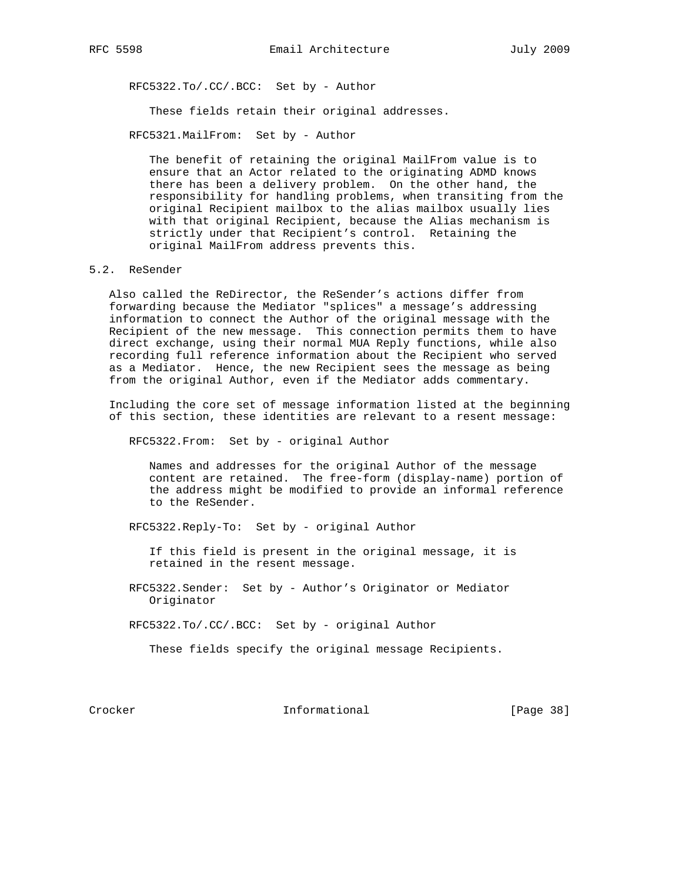RFC5322.To/.CC/.BCC: Set by - Author

These fields retain their original addresses.

RFC5321.MailFrom: Set by - Author

 The benefit of retaining the original MailFrom value is to ensure that an Actor related to the originating ADMD knows there has been a delivery problem. On the other hand, the responsibility for handling problems, when transiting from the original Recipient mailbox to the alias mailbox usually lies with that original Recipient, because the Alias mechanism is strictly under that Recipient's control. Retaining the original MailFrom address prevents this.

## 5.2. ReSender

 Also called the ReDirector, the ReSender's actions differ from forwarding because the Mediator "splices" a message's addressing information to connect the Author of the original message with the Recipient of the new message. This connection permits them to have direct exchange, using their normal MUA Reply functions, while also recording full reference information about the Recipient who served as a Mediator. Hence, the new Recipient sees the message as being from the original Author, even if the Mediator adds commentary.

 Including the core set of message information listed at the beginning of this section, these identities are relevant to a resent message:

RFC5322.From: Set by - original Author

 Names and addresses for the original Author of the message content are retained. The free-form (display-name) portion of the address might be modified to provide an informal reference to the ReSender.

RFC5322.Reply-To: Set by - original Author

 If this field is present in the original message, it is retained in the resent message.

 RFC5322.Sender: Set by - Author's Originator or Mediator Originator

RFC5322.To/.CC/.BCC: Set by - original Author

These fields specify the original message Recipients.

Crocker Informational [Page 38]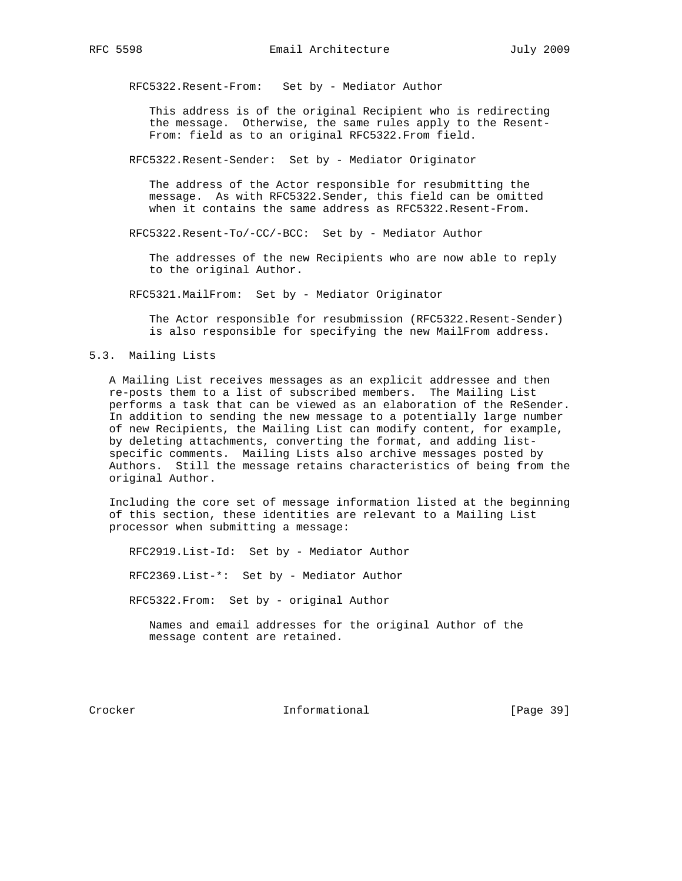RFC5322.Resent-From: Set by - Mediator Author

 This address is of the original Recipient who is redirecting the message. Otherwise, the same rules apply to the Resent- From: field as to an original RFC5322.From field.

RFC5322.Resent-Sender: Set by - Mediator Originator

 The address of the Actor responsible for resubmitting the message. As with RFC5322.Sender, this field can be omitted when it contains the same address as RFC5322.Resent-From.

RFC5322.Resent-To/-CC/-BCC: Set by - Mediator Author

 The addresses of the new Recipients who are now able to reply to the original Author.

RFC5321.MailFrom: Set by - Mediator Originator

 The Actor responsible for resubmission (RFC5322.Resent-Sender) is also responsible for specifying the new MailFrom address.

## 5.3. Mailing Lists

 A Mailing List receives messages as an explicit addressee and then re-posts them to a list of subscribed members. The Mailing List performs a task that can be viewed as an elaboration of the ReSender. In addition to sending the new message to a potentially large number of new Recipients, the Mailing List can modify content, for example, by deleting attachments, converting the format, and adding list specific comments. Mailing Lists also archive messages posted by Authors. Still the message retains characteristics of being from the original Author.

 Including the core set of message information listed at the beginning of this section, these identities are relevant to a Mailing List processor when submitting a message:

 RFC2919.List-Id: Set by - Mediator Author RFC2369.List-\*: Set by - Mediator Author RFC5322.From: Set by - original Author Names and email addresses for the original Author of the message content are retained.

Crocker Informational [Page 39]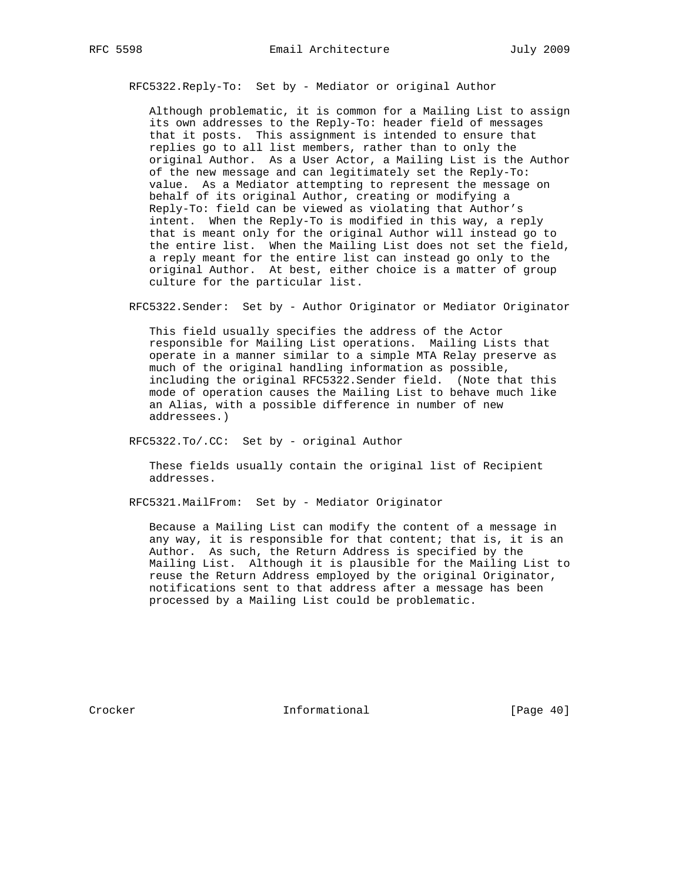RFC5322.Reply-To: Set by - Mediator or original Author

 Although problematic, it is common for a Mailing List to assign its own addresses to the Reply-To: header field of messages that it posts. This assignment is intended to ensure that replies go to all list members, rather than to only the original Author. As a User Actor, a Mailing List is the Author of the new message and can legitimately set the Reply-To: value. As a Mediator attempting to represent the message on behalf of its original Author, creating or modifying a Reply-To: field can be viewed as violating that Author's intent. When the Reply-To is modified in this way, a reply that is meant only for the original Author will instead go to the entire list. When the Mailing List does not set the field, a reply meant for the entire list can instead go only to the original Author. At best, either choice is a matter of group culture for the particular list.

RFC5322.Sender: Set by - Author Originator or Mediator Originator

 This field usually specifies the address of the Actor responsible for Mailing List operations. Mailing Lists that operate in a manner similar to a simple MTA Relay preserve as much of the original handling information as possible, including the original RFC5322.Sender field. (Note that this mode of operation causes the Mailing List to behave much like an Alias, with a possible difference in number of new addressees.)

RFC5322.To/.CC: Set by - original Author

 These fields usually contain the original list of Recipient addresses.

RFC5321.MailFrom: Set by - Mediator Originator

 Because a Mailing List can modify the content of a message in any way, it is responsible for that content; that is, it is an Author. As such, the Return Address is specified by the Mailing List. Although it is plausible for the Mailing List to reuse the Return Address employed by the original Originator, notifications sent to that address after a message has been processed by a Mailing List could be problematic.

Crocker **Informational** [Page 40]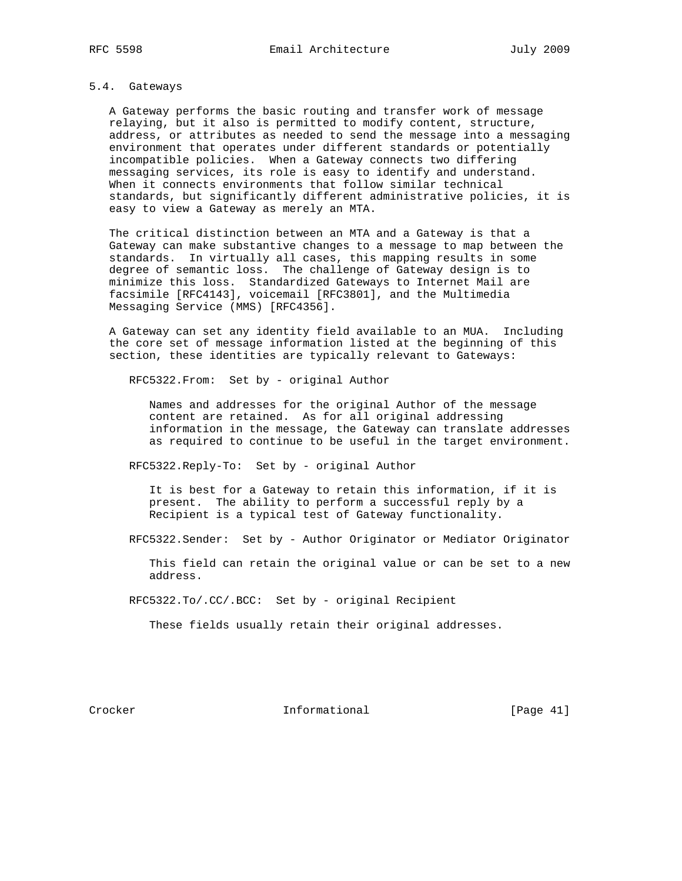# 5.4. Gateways

 A Gateway performs the basic routing and transfer work of message relaying, but it also is permitted to modify content, structure, address, or attributes as needed to send the message into a messaging environment that operates under different standards or potentially incompatible policies. When a Gateway connects two differing messaging services, its role is easy to identify and understand. When it connects environments that follow similar technical standards, but significantly different administrative policies, it is easy to view a Gateway as merely an MTA.

 The critical distinction between an MTA and a Gateway is that a Gateway can make substantive changes to a message to map between the standards. In virtually all cases, this mapping results in some degree of semantic loss. The challenge of Gateway design is to minimize this loss. Standardized Gateways to Internet Mail are facsimile [RFC4143], voicemail [RFC3801], and the Multimedia Messaging Service (MMS) [RFC4356].

 A Gateway can set any identity field available to an MUA. Including the core set of message information listed at the beginning of this section, these identities are typically relevant to Gateways:

RFC5322.From: Set by - original Author

 Names and addresses for the original Author of the message content are retained. As for all original addressing information in the message, the Gateway can translate addresses as required to continue to be useful in the target environment.

RFC5322.Reply-To: Set by - original Author

 It is best for a Gateway to retain this information, if it is present. The ability to perform a successful reply by a Recipient is a typical test of Gateway functionality.

RFC5322.Sender: Set by - Author Originator or Mediator Originator

 This field can retain the original value or can be set to a new address.

RFC5322.To/.CC/.BCC: Set by - original Recipient

These fields usually retain their original addresses.

Crocker **Informational** [Page 41]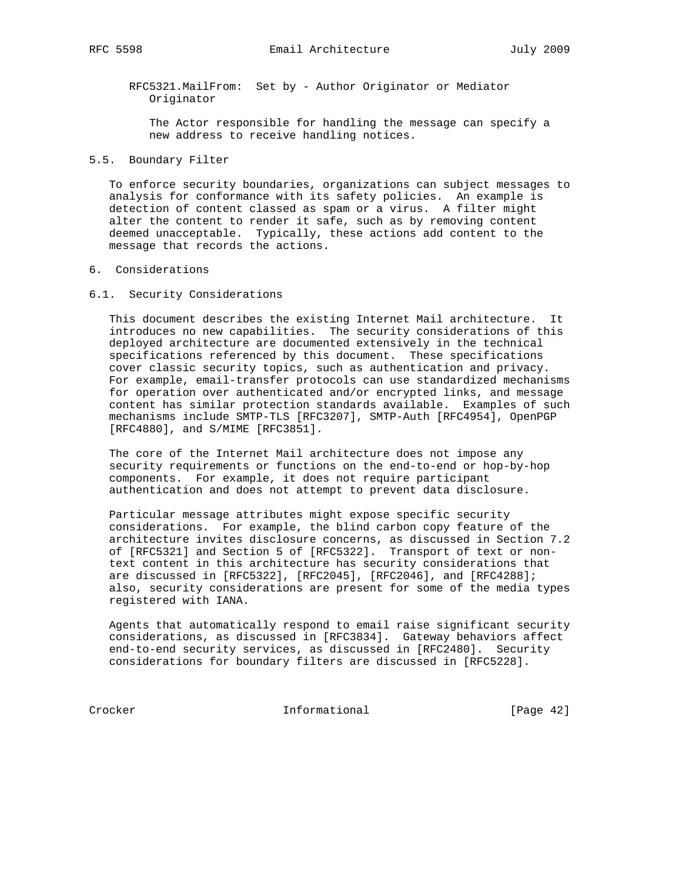RFC5321.MailFrom: Set by - Author Originator or Mediator Originator

 The Actor responsible for handling the message can specify a new address to receive handling notices.

## 5.5. Boundary Filter

 To enforce security boundaries, organizations can subject messages to analysis for conformance with its safety policies. An example is detection of content classed as spam or a virus. A filter might alter the content to render it safe, such as by removing content deemed unacceptable. Typically, these actions add content to the message that records the actions.

## 6. Considerations

## 6.1. Security Considerations

 This document describes the existing Internet Mail architecture. It introduces no new capabilities. The security considerations of this deployed architecture are documented extensively in the technical specifications referenced by this document. These specifications cover classic security topics, such as authentication and privacy. For example, email-transfer protocols can use standardized mechanisms for operation over authenticated and/or encrypted links, and message content has similar protection standards available. Examples of such mechanisms include SMTP-TLS [RFC3207], SMTP-Auth [RFC4954], OpenPGP [RFC4880], and S/MIME [RFC3851].

 The core of the Internet Mail architecture does not impose any security requirements or functions on the end-to-end or hop-by-hop components. For example, it does not require participant authentication and does not attempt to prevent data disclosure.

 Particular message attributes might expose specific security considerations. For example, the blind carbon copy feature of the architecture invites disclosure concerns, as discussed in Section 7.2 of [RFC5321] and Section 5 of [RFC5322]. Transport of text or non text content in this architecture has security considerations that are discussed in [RFC5322], [RFC2045], [RFC2046], and [RFC4288]; also, security considerations are present for some of the media types registered with IANA.

 Agents that automatically respond to email raise significant security considerations, as discussed in [RFC3834]. Gateway behaviors affect end-to-end security services, as discussed in [RFC2480]. Security considerations for boundary filters are discussed in [RFC5228].

Crocker Informational [Page 42]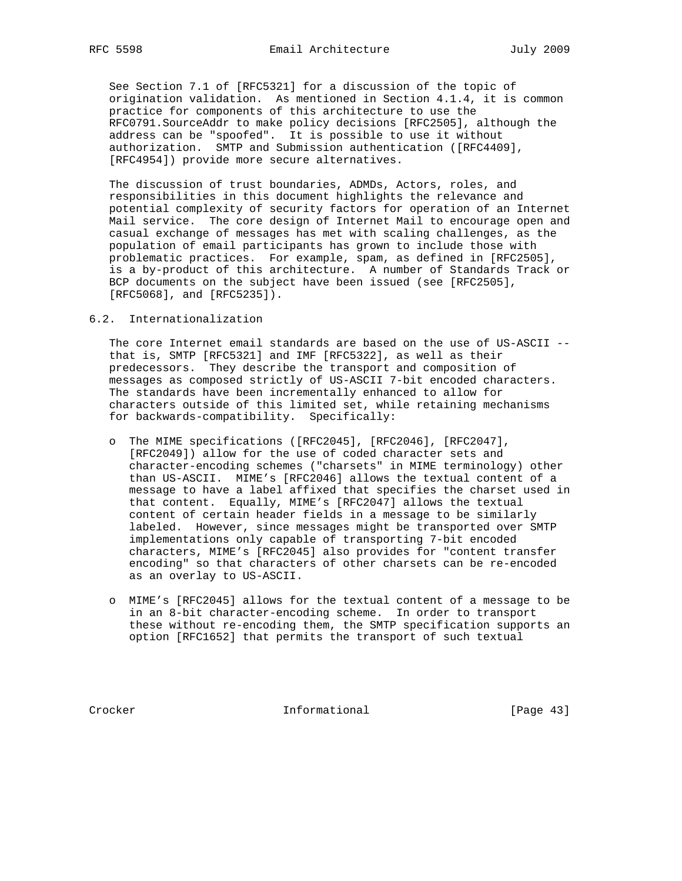See Section 7.1 of [RFC5321] for a discussion of the topic of origination validation. As mentioned in Section 4.1.4, it is common practice for components of this architecture to use the RFC0791.SourceAddr to make policy decisions [RFC2505], although the address can be "spoofed". It is possible to use it without authorization. SMTP and Submission authentication ([RFC4409], [RFC4954]) provide more secure alternatives.

 The discussion of trust boundaries, ADMDs, Actors, roles, and responsibilities in this document highlights the relevance and potential complexity of security factors for operation of an Internet Mail service. The core design of Internet Mail to encourage open and casual exchange of messages has met with scaling challenges, as the population of email participants has grown to include those with problematic practices. For example, spam, as defined in [RFC2505], is a by-product of this architecture. A number of Standards Track or BCP documents on the subject have been issued (see [RFC2505], [RFC5068], and [RFC5235]).

6.2. Internationalization

 The core Internet email standards are based on the use of US-ASCII - that is, SMTP [RFC5321] and IMF [RFC5322], as well as their predecessors. They describe the transport and composition of messages as composed strictly of US-ASCII 7-bit encoded characters. The standards have been incrementally enhanced to allow for characters outside of this limited set, while retaining mechanisms for backwards-compatibility. Specifically:

- o The MIME specifications ([RFC2045], [RFC2046], [RFC2047], [RFC2049]) allow for the use of coded character sets and character-encoding schemes ("charsets" in MIME terminology) other than US-ASCII. MIME's [RFC2046] allows the textual content of a message to have a label affixed that specifies the charset used in that content. Equally, MIME's [RFC2047] allows the textual content of certain header fields in a message to be similarly labeled. However, since messages might be transported over SMTP implementations only capable of transporting 7-bit encoded characters, MIME's [RFC2045] also provides for "content transfer encoding" so that characters of other charsets can be re-encoded as an overlay to US-ASCII.
- o MIME's [RFC2045] allows for the textual content of a message to be in an 8-bit character-encoding scheme. In order to transport these without re-encoding them, the SMTP specification supports an option [RFC1652] that permits the transport of such textual

Crocker Informational [Page 43]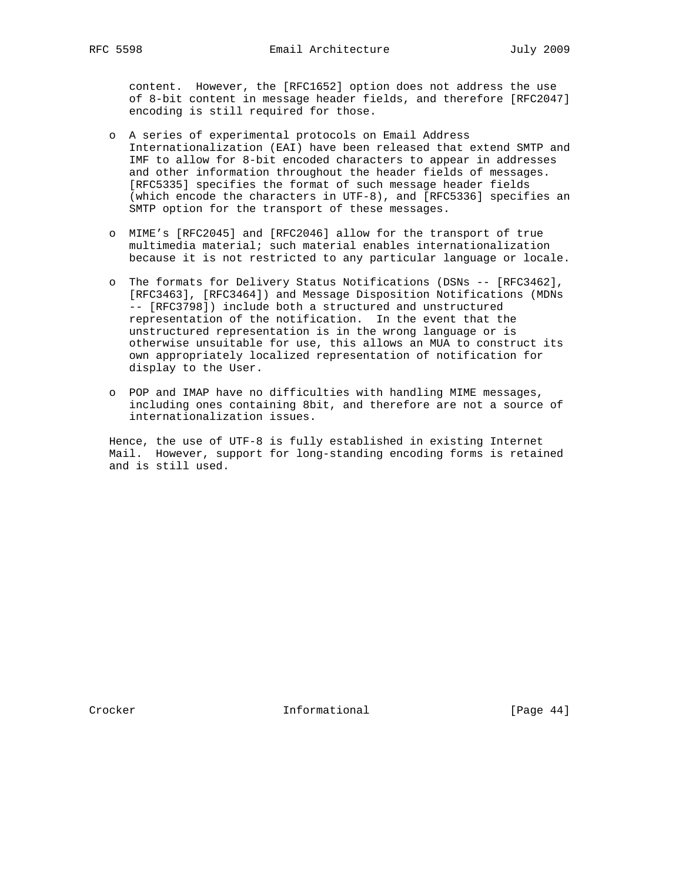content. However, the [RFC1652] option does not address the use of 8-bit content in message header fields, and therefore [RFC2047] encoding is still required for those.

- o A series of experimental protocols on Email Address Internationalization (EAI) have been released that extend SMTP and IMF to allow for 8-bit encoded characters to appear in addresses and other information throughout the header fields of messages. [RFC5335] specifies the format of such message header fields (which encode the characters in UTF-8), and [RFC5336] specifies an SMTP option for the transport of these messages.
- o MIME's [RFC2045] and [RFC2046] allow for the transport of true multimedia material; such material enables internationalization because it is not restricted to any particular language or locale.
- o The formats for Delivery Status Notifications (DSNs -- [RFC3462], [RFC3463], [RFC3464]) and Message Disposition Notifications (MDNs -- [RFC3798]) include both a structured and unstructured representation of the notification. In the event that the unstructured representation is in the wrong language or is otherwise unsuitable for use, this allows an MUA to construct its own appropriately localized representation of notification for display to the User.
- o POP and IMAP have no difficulties with handling MIME messages, including ones containing 8bit, and therefore are not a source of internationalization issues.

 Hence, the use of UTF-8 is fully established in existing Internet Mail. However, support for long-standing encoding forms is retained and is still used.

Crocker **Informational** Informational [Page 44]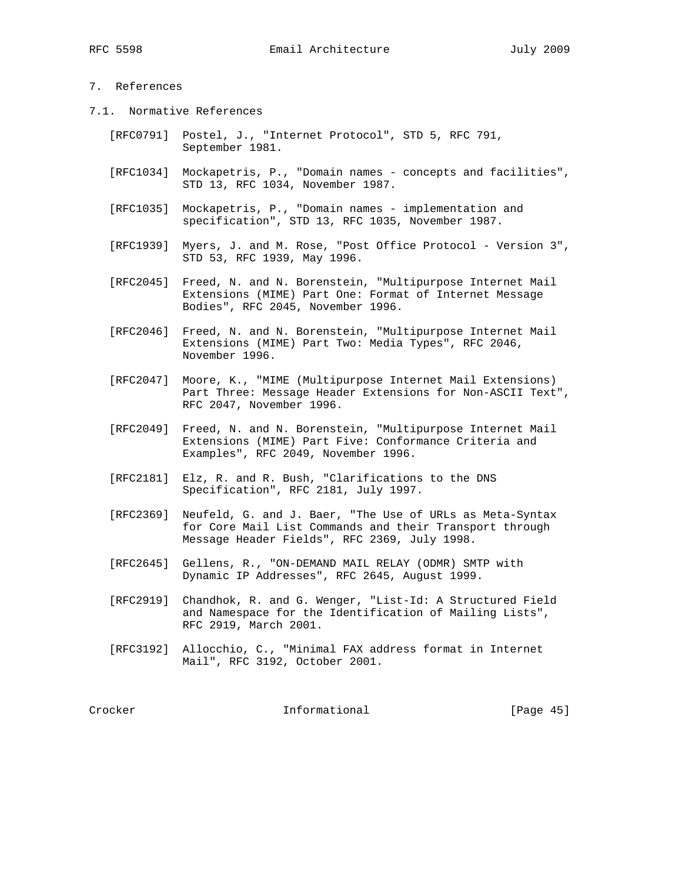# 7. References

- 7.1. Normative References
	- [RFC0791] Postel, J., "Internet Protocol", STD 5, RFC 791, September 1981.
	- [RFC1034] Mockapetris, P., "Domain names concepts and facilities", STD 13, RFC 1034, November 1987.
	- [RFC1035] Mockapetris, P., "Domain names implementation and specification", STD 13, RFC 1035, November 1987.
	- [RFC1939] Myers, J. and M. Rose, "Post Office Protocol Version 3", STD 53, RFC 1939, May 1996.
	- [RFC2045] Freed, N. and N. Borenstein, "Multipurpose Internet Mail Extensions (MIME) Part One: Format of Internet Message Bodies", RFC 2045, November 1996.
	- [RFC2046] Freed, N. and N. Borenstein, "Multipurpose Internet Mail Extensions (MIME) Part Two: Media Types", RFC 2046, November 1996.
	- [RFC2047] Moore, K., "MIME (Multipurpose Internet Mail Extensions) Part Three: Message Header Extensions for Non-ASCII Text", RFC 2047, November 1996.
	- [RFC2049] Freed, N. and N. Borenstein, "Multipurpose Internet Mail Extensions (MIME) Part Five: Conformance Criteria and Examples", RFC 2049, November 1996.
	- [RFC2181] Elz, R. and R. Bush, "Clarifications to the DNS Specification", RFC 2181, July 1997.
	- [RFC2369] Neufeld, G. and J. Baer, "The Use of URLs as Meta-Syntax for Core Mail List Commands and their Transport through Message Header Fields", RFC 2369, July 1998.
	- [RFC2645] Gellens, R., "ON-DEMAND MAIL RELAY (ODMR) SMTP with Dynamic IP Addresses", RFC 2645, August 1999.
	- [RFC2919] Chandhok, R. and G. Wenger, "List-Id: A Structured Field and Namespace for the Identification of Mailing Lists", RFC 2919, March 2001.
	- [RFC3192] Allocchio, C., "Minimal FAX address format in Internet Mail", RFC 3192, October 2001.

Crocker Informational [Page 45]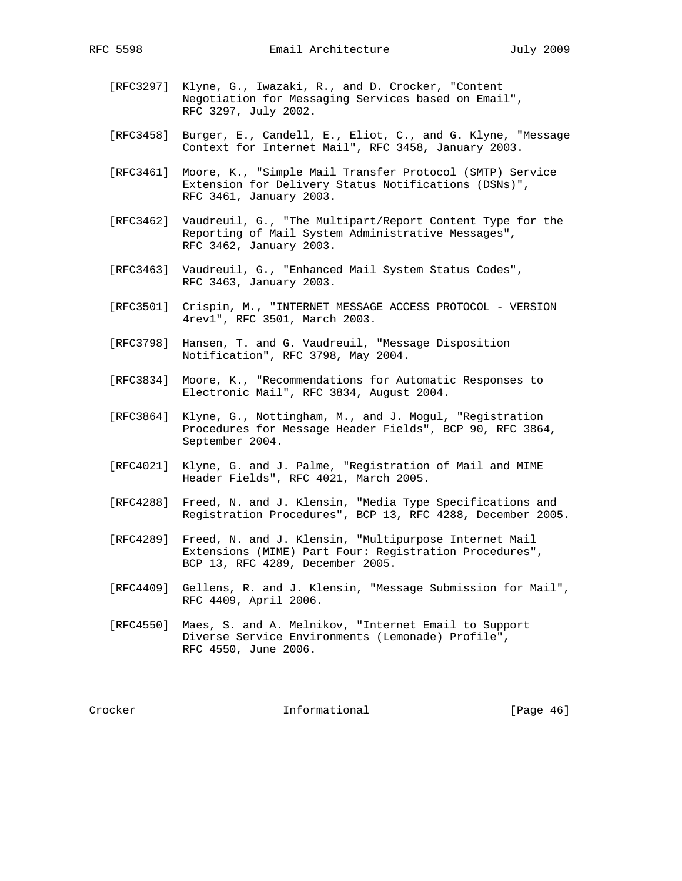- [RFC3297] Klyne, G., Iwazaki, R., and D. Crocker, "Content Negotiation for Messaging Services based on Email", RFC 3297, July 2002.
- [RFC3458] Burger, E., Candell, E., Eliot, C., and G. Klyne, "Message Context for Internet Mail", RFC 3458, January 2003.
- [RFC3461] Moore, K., "Simple Mail Transfer Protocol (SMTP) Service Extension for Delivery Status Notifications (DSNs)", RFC 3461, January 2003.
- [RFC3462] Vaudreuil, G., "The Multipart/Report Content Type for the Reporting of Mail System Administrative Messages", RFC 3462, January 2003.
- [RFC3463] Vaudreuil, G., "Enhanced Mail System Status Codes", RFC 3463, January 2003.
- [RFC3501] Crispin, M., "INTERNET MESSAGE ACCESS PROTOCOL VERSION 4rev1", RFC 3501, March 2003.
- [RFC3798] Hansen, T. and G. Vaudreuil, "Message Disposition Notification", RFC 3798, May 2004.
- [RFC3834] Moore, K., "Recommendations for Automatic Responses to Electronic Mail", RFC 3834, August 2004.
- [RFC3864] Klyne, G., Nottingham, M., and J. Mogul, "Registration Procedures for Message Header Fields", BCP 90, RFC 3864, September 2004.
- [RFC4021] Klyne, G. and J. Palme, "Registration of Mail and MIME Header Fields", RFC 4021, March 2005.
- [RFC4288] Freed, N. and J. Klensin, "Media Type Specifications and Registration Procedures", BCP 13, RFC 4288, December 2005.
- [RFC4289] Freed, N. and J. Klensin, "Multipurpose Internet Mail Extensions (MIME) Part Four: Registration Procedures", BCP 13, RFC 4289, December 2005.
- [RFC4409] Gellens, R. and J. Klensin, "Message Submission for Mail", RFC 4409, April 2006.
- [RFC4550] Maes, S. and A. Melnikov, "Internet Email to Support Diverse Service Environments (Lemonade) Profile", RFC 4550, June 2006.

Crocker **Informational** [Page 46]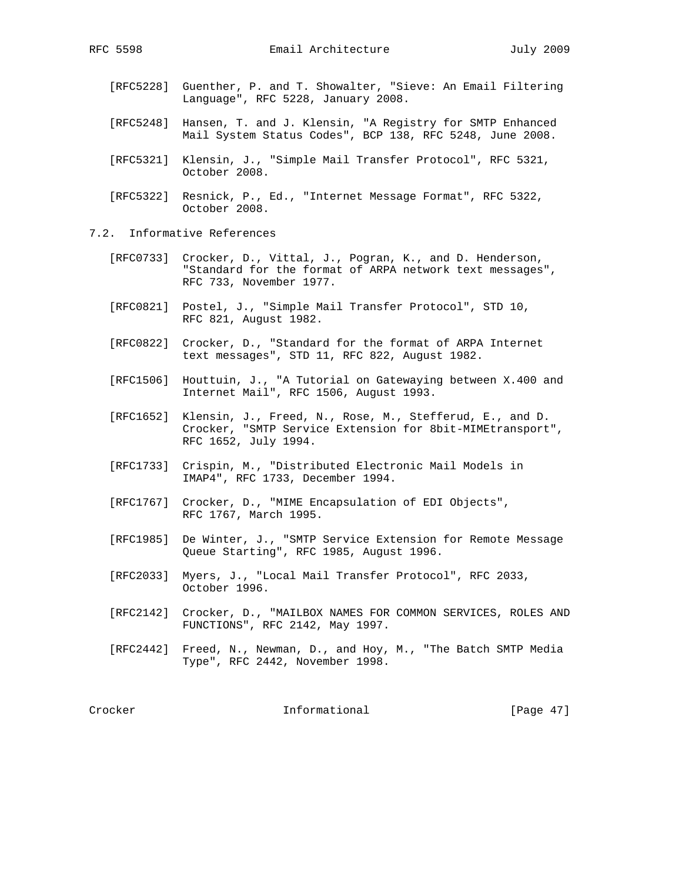- [RFC5228] Guenther, P. and T. Showalter, "Sieve: An Email Filtering Language", RFC 5228, January 2008.
- [RFC5248] Hansen, T. and J. Klensin, "A Registry for SMTP Enhanced Mail System Status Codes", BCP 138, RFC 5248, June 2008.
- [RFC5321] Klensin, J., "Simple Mail Transfer Protocol", RFC 5321, October 2008.
- [RFC5322] Resnick, P., Ed., "Internet Message Format", RFC 5322, October 2008.
- 7.2. Informative References
	- [RFC0733] Crocker, D., Vittal, J., Pogran, K., and D. Henderson, "Standard for the format of ARPA network text messages", RFC 733, November 1977.
	- [RFC0821] Postel, J., "Simple Mail Transfer Protocol", STD 10, RFC 821, August 1982.
	- [RFC0822] Crocker, D., "Standard for the format of ARPA Internet text messages", STD 11, RFC 822, August 1982.
	- [RFC1506] Houttuin, J., "A Tutorial on Gatewaying between X.400 and Internet Mail", RFC 1506, August 1993.
	- [RFC1652] Klensin, J., Freed, N., Rose, M., Stefferud, E., and D. Crocker, "SMTP Service Extension for 8bit-MIMEtransport", RFC 1652, July 1994.
	- [RFC1733] Crispin, M., "Distributed Electronic Mail Models in IMAP4", RFC 1733, December 1994.
	- [RFC1767] Crocker, D., "MIME Encapsulation of EDI Objects", RFC 1767, March 1995.
	- [RFC1985] De Winter, J., "SMTP Service Extension for Remote Message Queue Starting", RFC 1985, August 1996.
	- [RFC2033] Myers, J., "Local Mail Transfer Protocol", RFC 2033, October 1996.
	- [RFC2142] Crocker, D., "MAILBOX NAMES FOR COMMON SERVICES, ROLES AND FUNCTIONS", RFC 2142, May 1997.
	- [RFC2442] Freed, N., Newman, D., and Hoy, M., "The Batch SMTP Media Type", RFC 2442, November 1998.

Crocker Informational [Page 47]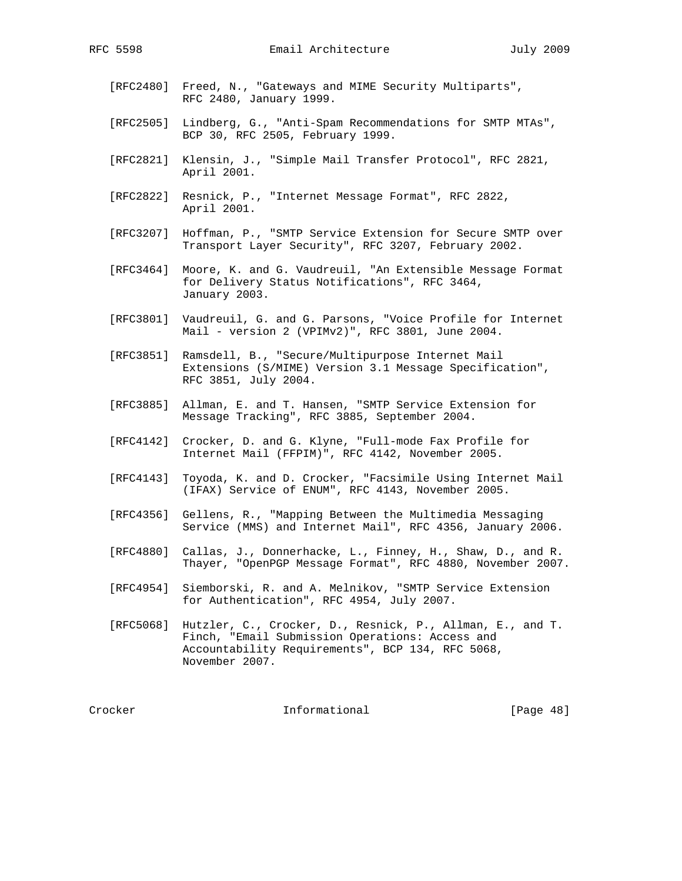- [RFC2480] Freed, N., "Gateways and MIME Security Multiparts", RFC 2480, January 1999.
- [RFC2505] Lindberg, G., "Anti-Spam Recommendations for SMTP MTAs", BCP 30, RFC 2505, February 1999.
- [RFC2821] Klensin, J., "Simple Mail Transfer Protocol", RFC 2821, April 2001.
- [RFC2822] Resnick, P., "Internet Message Format", RFC 2822, April 2001.
- [RFC3207] Hoffman, P., "SMTP Service Extension for Secure SMTP over Transport Layer Security", RFC 3207, February 2002.
- [RFC3464] Moore, K. and G. Vaudreuil, "An Extensible Message Format for Delivery Status Notifications", RFC 3464, January 2003.
- [RFC3801] Vaudreuil, G. and G. Parsons, "Voice Profile for Internet Mail - version 2 (VPIMv2)", RFC 3801, June 2004.
- [RFC3851] Ramsdell, B., "Secure/Multipurpose Internet Mail Extensions (S/MIME) Version 3.1 Message Specification", RFC 3851, July 2004.
- [RFC3885] Allman, E. and T. Hansen, "SMTP Service Extension for Message Tracking", RFC 3885, September 2004.
- [RFC4142] Crocker, D. and G. Klyne, "Full-mode Fax Profile for Internet Mail (FFPIM)", RFC 4142, November 2005.
- [RFC4143] Toyoda, K. and D. Crocker, "Facsimile Using Internet Mail (IFAX) Service of ENUM", RFC 4143, November 2005.
- [RFC4356] Gellens, R., "Mapping Between the Multimedia Messaging Service (MMS) and Internet Mail", RFC 4356, January 2006.
- [RFC4880] Callas, J., Donnerhacke, L., Finney, H., Shaw, D., and R. Thayer, "OpenPGP Message Format", RFC 4880, November 2007.
- [RFC4954] Siemborski, R. and A. Melnikov, "SMTP Service Extension for Authentication", RFC 4954, July 2007.
- [RFC5068] Hutzler, C., Crocker, D., Resnick, P., Allman, E., and T. Finch, "Email Submission Operations: Access and Accountability Requirements", BCP 134, RFC 5068, November 2007.

Crocker **Informational** [Page 48]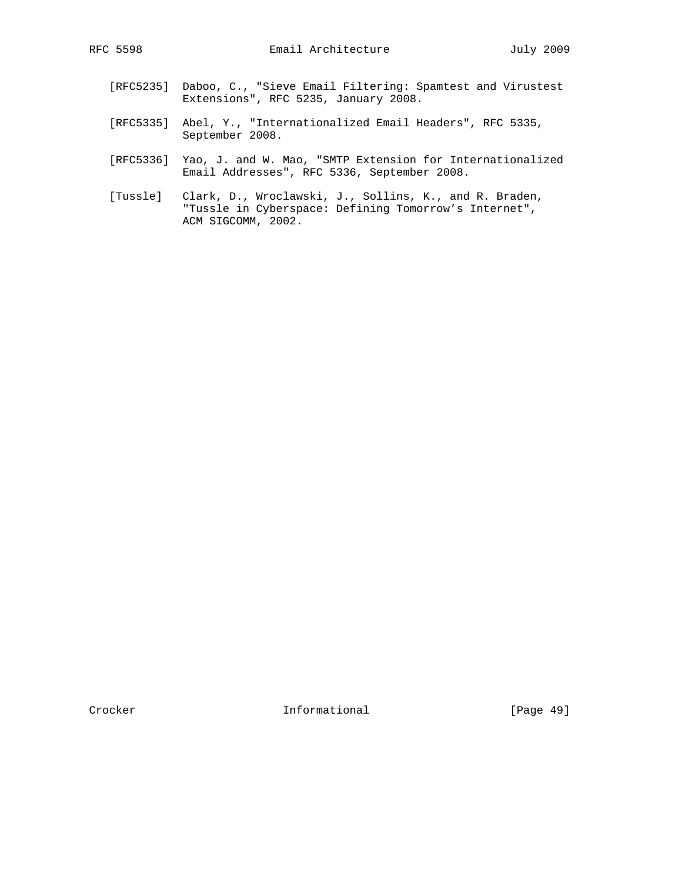- [RFC5235] Daboo, C., "Sieve Email Filtering: Spamtest and Virustest Extensions", RFC 5235, January 2008.
	- [RFC5335] Abel, Y., "Internationalized Email Headers", RFC 5335, September 2008.
	- [RFC5336] Yao, J. and W. Mao, "SMTP Extension for Internationalized Email Addresses", RFC 5336, September 2008.
	- [Tussle] Clark, D., Wroclawski, J., Sollins, K., and R. Braden, "Tussle in Cyberspace: Defining Tomorrow's Internet", ACM SIGCOMM, 2002.

Crocker **Informational** [Page 49]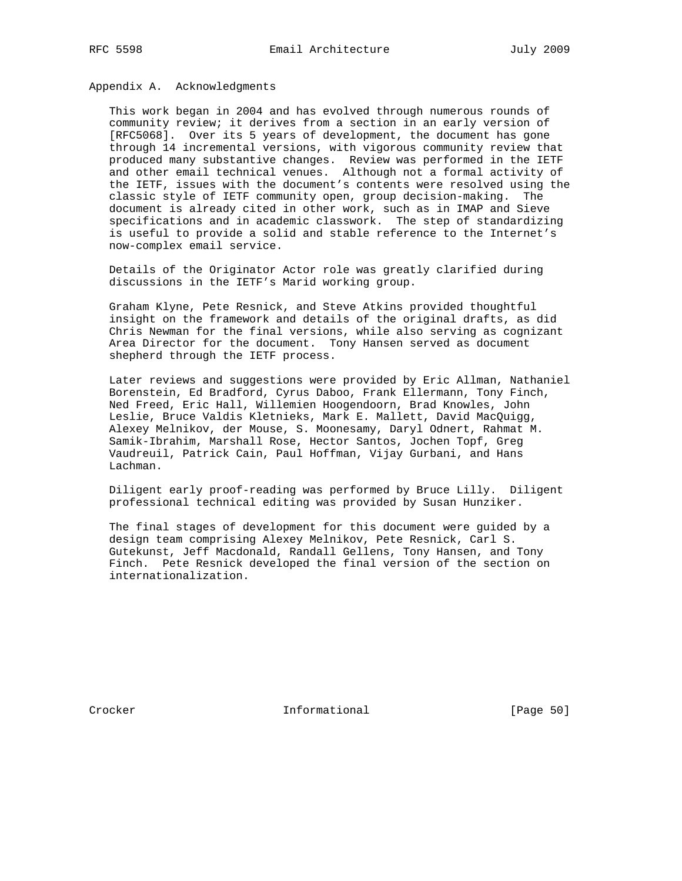Appendix A. Acknowledgments

 This work began in 2004 and has evolved through numerous rounds of community review; it derives from a section in an early version of [RFC5068]. Over its 5 years of development, the document has gone through 14 incremental versions, with vigorous community review that produced many substantive changes. Review was performed in the IETF and other email technical venues. Although not a formal activity of the IETF, issues with the document's contents were resolved using the classic style of IETF community open, group decision-making. The document is already cited in other work, such as in IMAP and Sieve specifications and in academic classwork. The step of standardizing is useful to provide a solid and stable reference to the Internet's now-complex email service.

 Details of the Originator Actor role was greatly clarified during discussions in the IETF's Marid working group.

 Graham Klyne, Pete Resnick, and Steve Atkins provided thoughtful insight on the framework and details of the original drafts, as did Chris Newman for the final versions, while also serving as cognizant Area Director for the document. Tony Hansen served as document shepherd through the IETF process.

 Later reviews and suggestions were provided by Eric Allman, Nathaniel Borenstein, Ed Bradford, Cyrus Daboo, Frank Ellermann, Tony Finch, Ned Freed, Eric Hall, Willemien Hoogendoorn, Brad Knowles, John Leslie, Bruce Valdis Kletnieks, Mark E. Mallett, David MacQuigg, Alexey Melnikov, der Mouse, S. Moonesamy, Daryl Odnert, Rahmat M. Samik-Ibrahim, Marshall Rose, Hector Santos, Jochen Topf, Greg Vaudreuil, Patrick Cain, Paul Hoffman, Vijay Gurbani, and Hans Lachman.

 Diligent early proof-reading was performed by Bruce Lilly. Diligent professional technical editing was provided by Susan Hunziker.

 The final stages of development for this document were guided by a design team comprising Alexey Melnikov, Pete Resnick, Carl S. Gutekunst, Jeff Macdonald, Randall Gellens, Tony Hansen, and Tony Finch. Pete Resnick developed the final version of the section on internationalization.

Crocker **Informational** [Page 50]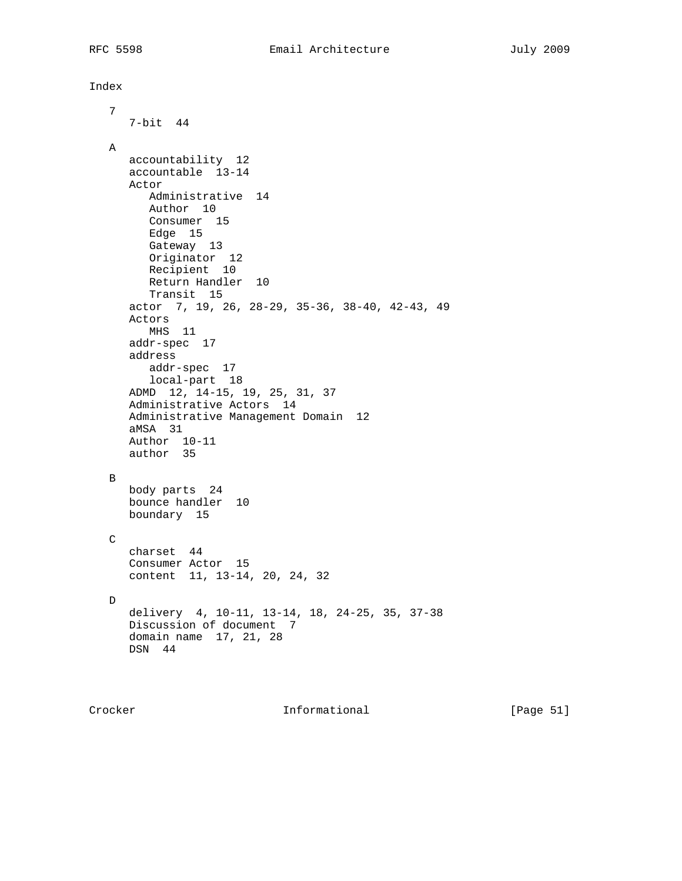```
Index
   7
     7-bit 44
  A
     accountability 12
     accountable 13-14
     Actor
        Administrative 14
        Author 10
        Consumer 15
        Edge 15
        Gateway 13
Originator 12
Recipient 10
        Return Handler 10
        Transit 15
     actor 7, 19, 26, 28-29, 35-36, 38-40, 42-43, 49
     Actors
        MHS 11
     addr-spec 17
     address
        addr-spec 17
        local-part 18
     ADMD 12, 14-15, 19, 25, 31, 37
     Administrative Actors 14
     Administrative Management Domain 12
     aMSA 31
     Author 10-11
     author 35
  B
     body parts 24
     bounce handler 10
     boundary 15
 \mathtt{C} charset 44
     Consumer Actor 15
     content 11, 13-14, 20, 24, 32
 \mathbb D delivery 4, 10-11, 13-14, 18, 24-25, 35, 37-38
     Discussion of document 7
     domain name 17, 21, 28
     DSN 44
```
Crocker **Informational** [Page 51]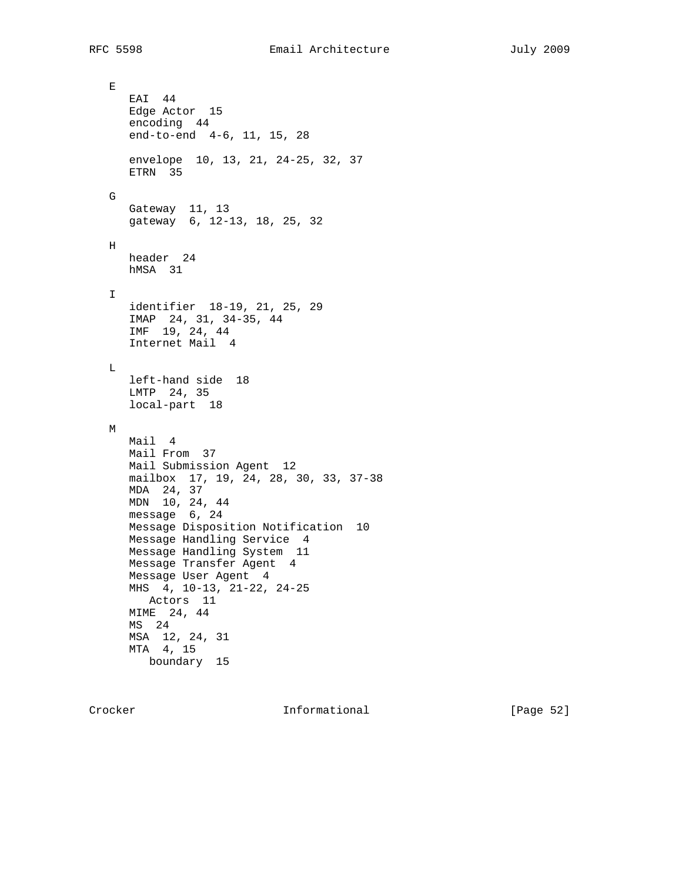$\mathbf E$  EAI 44 Edge Actor 15 encoding 44 end-to-end 4-6, 11, 15, 28 envelope 10, 13, 21, 24-25, 32, 37 ETRN 35 G Gateway 11, 13 gateway 6, 12-13, 18, 25, 32 H header 24 hMSA 31  $\mathbf{I}$  identifier 18-19, 21, 25, 29 IMAP 24, 31, 34-35, 44 IMF 19, 24, 44 Internet Mail 4  $\mathbf L$  left-hand side 18 LMTP 24, 35 local-part 18 M Mail 4 Mail From 37 Mail Submission Agent 12 mailbox 17, 19, 24, 28, 30, 33, 37-38 MDA 24, 37 MDN 10, 24, 44 message 6, 24 Message Disposition Notification 10 Message Handling Service 4 Message Handling System 11 Message Transfer Agent 4 Message User Agent 4 MHS 4, 10-13, 21-22, 24-25 Actors 11 MIME 24, 44 MS 24 MSA 12, 24, 31 MTA 4, 15 boundary 15

Crocker **Informational** [Page 52]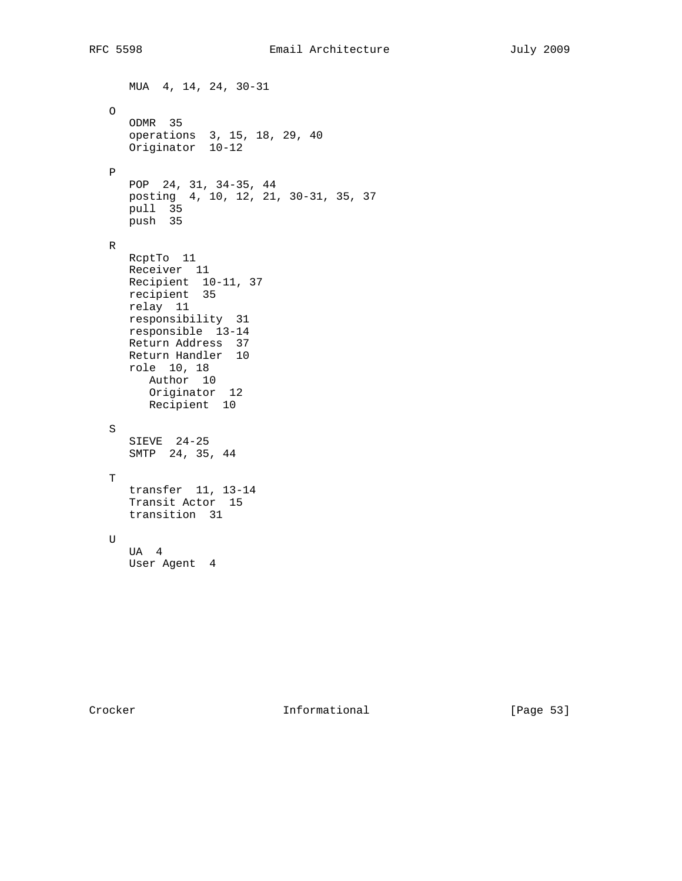MUA 4, 14, 24, 30-31 O ODMR 35 operations 3, 15, 18, 29, 40 Originator 10-12 P POP 24, 31, 34-35, 44 posting 4, 10, 12, 21, 30-31, 35, 37 pull 35 push 35 R RcptTo 11 Receiver 11 Recipient 10-11, 37 recipient 35 relay 11 responsibility 31 responsible 13-14 Return Address 37 Return Handler 10 role 10, 18 Author 10 Originator 12 Recipient 10 S SIEVE 24-25 SMTP 24, 35, 44 T transfer 11, 13-14 Transit Actor 15 transition 31 U UA 4 User Agent 4

Crocker Informational [Page 53]